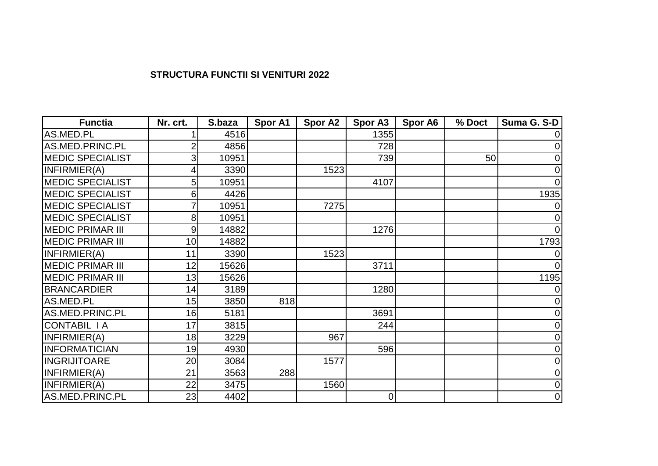## **STRUCTURA FUNCTII SI VENITURI 2022**

| <b>Functia</b>           | Nr. crt. | S.baza | Spor A1 | <b>Spor A2</b> | Spor A3        | Spor A6 | % Doct | Suma G. S-D |
|--------------------------|----------|--------|---------|----------------|----------------|---------|--------|-------------|
| AS.MED.PL                |          | 4516   |         |                | 1355           |         |        |             |
| AS.MED.PRINC.PL          |          | 4856   |         |                | 728            |         |        |             |
| <b>IMEDIC SPECIALIST</b> | 3        | 10951  |         |                | 739            |         | 50     | 0           |
| INFIRMIER(A)             |          | 3390   |         | 1523           |                |         |        | 0           |
| <b>MEDIC SPECIALIST</b>  | 5        | 10951  |         |                | 4107           |         |        |             |
| <b>MEDIC SPECIALIST</b>  | 6        | 4426   |         |                |                |         |        | 1935        |
| <b>IMEDIC SPECIALIST</b> |          | 10951  |         | 7275           |                |         |        |             |
| <b>IMEDIC SPECIALIST</b> | 8        | 10951  |         |                |                |         |        |             |
| <b>MEDIC PRIMAR III</b>  | 9        | 14882  |         |                | 1276           |         |        |             |
| <b>MEDIC PRIMAR III</b>  | 10       | 14882  |         |                |                |         |        | 1793        |
| INFIRMIER(A)             | 11       | 3390   |         | 1523           |                |         |        |             |
| MEDIC PRIMAR III         | 12       | 15626  |         |                | 3711           |         |        | $\Omega$    |
| <b>MEDIC PRIMAR III</b>  | 13       | 15626  |         |                |                |         |        | 1195        |
| <b>BRANCARDIER</b>       | 14       | 3189   |         |                | 1280           |         |        |             |
| AS.MED.PL                | 15       | 3850   | 818     |                |                |         |        |             |
| AS.MED.PRINC.PL          | 16       | 5181   |         |                | 3691           |         |        |             |
| CONTABIL I A             | 17       | 3815   |         |                | 244            |         |        |             |
| INFIRMIER(A)             | 18       | 3229   |         | 967            |                |         |        |             |
| <b>INFORMATICIAN</b>     | 19       | 4930   |         |                | 596            |         |        |             |
| <b>INGRIJITOARE</b>      | 20       | 3084   |         | 1577           |                |         |        | 0           |
| INFIRMIER(A)             | 21       | 3563   | 288     |                |                |         |        | 0           |
| INFIRMIER(A)             | 22       | 3475   |         | 1560           |                |         |        | 0           |
| AS.MED.PRINC.PL          | 23       | 4402   |         |                | $\overline{0}$ |         |        | $\mathbf 0$ |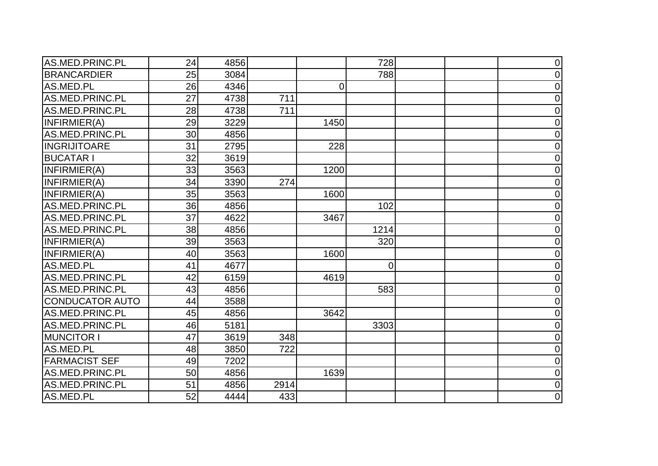| AS.MED.PRINC.PL        | 24 | 4856 |      |                | 728            | $\overline{0}$ |
|------------------------|----|------|------|----------------|----------------|----------------|
| <b>BRANCARDIER</b>     | 25 | 3084 |      |                | 788            | $\mathbf 0$    |
| AS.MED.PL              | 26 | 4346 |      | $\overline{0}$ |                | $\overline{0}$ |
| AS.MED.PRINC.PL        | 27 | 4738 | 711  |                |                | $\mathbf 0$    |
| AS.MED.PRINC.PL        | 28 | 4738 | 711  |                |                | $\mathbf 0$    |
| INFIRMIER(A)           | 29 | 3229 |      | 1450           |                | $\Omega$       |
| AS.MED.PRINC.PL        | 30 | 4856 |      |                |                | 0              |
| <b>INGRIJITOARE</b>    | 31 | 2795 |      | 228            |                | $\overline{0}$ |
| <b>BUCATAR I</b>       | 32 | 3619 |      |                |                | $\mathbf 0$    |
| INFIRMIER(A)           | 33 | 3563 |      | 1200           |                | $\overline{0}$ |
| INFIRMIER(A)           | 34 | 3390 | 274  |                |                | $\overline{0}$ |
| INFIRMIER(A)           | 35 | 3563 |      | 1600           |                | $\mathbf 0$    |
| AS.MED.PRINC.PL        | 36 | 4856 |      |                | 102            | $\Omega$       |
| AS.MED.PRINC.PL        | 37 | 4622 |      | 3467           |                | $\overline{0}$ |
| AS.MED.PRINC.PL        | 38 | 4856 |      |                | 1214           | 0              |
| INFIRMIER(A)           | 39 | 3563 |      |                | 320            | $\mathbf 0$    |
| INFIRMIER(A)           | 40 | 3563 |      | 1600           |                | $\overline{0}$ |
| AS.MED.PL              | 41 | 4677 |      |                | $\overline{0}$ | $\mathbf 0$    |
| AS.MED.PRINC.PL        | 42 | 6159 |      | 4619           |                | $\Omega$       |
| AS.MED.PRINC.PL        | 43 | 4856 |      |                | 583            | $\overline{0}$ |
| <b>CONDUCATOR AUTO</b> | 44 | 3588 |      |                |                | $\overline{0}$ |
| AS.MED.PRINC.PL        | 45 | 4856 |      | 3642           |                | $\overline{0}$ |
| AS.MED.PRINC.PL        | 46 | 5181 |      |                | 3303           | $\overline{0}$ |
| <b>MUNCITOR I</b>      | 47 | 3619 | 348  |                |                | $\Omega$       |
| AS.MED.PL              | 48 | 3850 | 722  |                |                | $\overline{0}$ |
| <b>FARMACIST SEF</b>   | 49 | 7202 |      |                |                | $\overline{0}$ |
| AS.MED.PRINC.PL        | 50 | 4856 |      | 1639           |                | $\overline{0}$ |
| AS.MED.PRINC.PL        | 51 | 4856 | 2914 |                |                | $\overline{0}$ |
| AS.MED.PL              | 52 | 4444 | 433  |                |                | $\mathbf 0$    |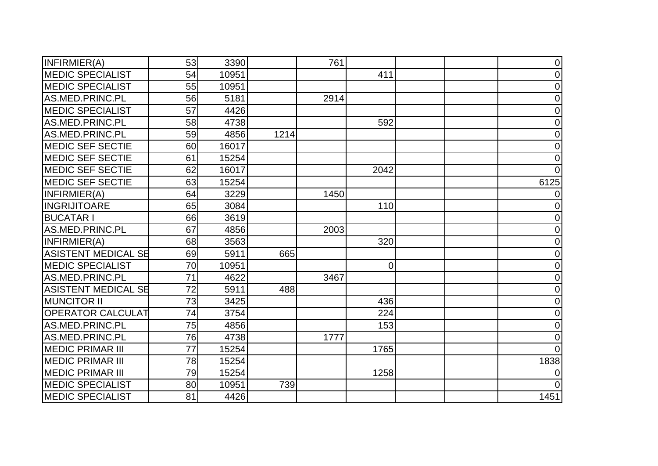| INFIRMIER(A)               | 53 | 3390  |      | 761  |                | $\mathbf 0$    |
|----------------------------|----|-------|------|------|----------------|----------------|
| <b>MEDIC SPECIALIST</b>    | 54 | 10951 |      |      | 411            | $\mathbf 0$    |
| <b>MEDIC SPECIALIST</b>    | 55 | 10951 |      |      |                | $\mathbf 0$    |
| AS.MED.PRINC.PL            | 56 | 5181  |      | 2914 |                | $\overline{0}$ |
| <b>MEDIC SPECIALIST</b>    | 57 | 4426  |      |      |                | $\mathbf 0$    |
| AS.MED.PRINC.PL            | 58 | 4738  |      |      | 592            | $\mathbf 0$    |
| AS.MED.PRINC.PL            | 59 | 4856  | 1214 |      |                | $\overline{0}$ |
| <b>MEDIC SEF SECTIE</b>    | 60 | 16017 |      |      |                | 0              |
| <b>MEDIC SEF SECTIE</b>    | 61 | 15254 |      |      |                | $\mathbf 0$    |
| <b>MEDIC SEF SECTIE</b>    | 62 | 16017 |      |      | 2042           | $\Omega$       |
| <b>MEDIC SEF SECTIE</b>    | 63 | 15254 |      |      |                | 6125           |
| INFIRMIER(A)               | 64 | 3229  |      | 1450 |                |                |
| <b>INGRIJITOARE</b>        | 65 | 3084  |      |      | 110            | $\Omega$       |
| <b>BUCATAR I</b>           | 66 | 3619  |      |      |                | 0              |
| AS.MED.PRINC.PL            | 67 | 4856  |      | 2003 |                | 0              |
| INFIRMIER(A)               | 68 | 3563  |      |      | 320            | $\overline{0}$ |
| <b>ASISTENT MEDICAL SE</b> | 69 | 5911  | 665  |      |                | $\overline{0}$ |
| <b>MEDIC SPECIALIST</b>    | 70 | 10951 |      |      | $\overline{0}$ | $\overline{0}$ |
| AS.MED.PRINC.PL            | 71 | 4622  |      | 3467 |                | $\overline{0}$ |
| <b>ASISTENT MEDICAL SE</b> | 72 | 5911  | 488  |      |                | $\overline{0}$ |
| <b>MUNCITOR II</b>         | 73 | 3425  |      |      | 436            | $\overline{0}$ |
| <b>OPERATOR CALCULAT</b>   | 74 | 3754  |      |      | 224            | $\overline{0}$ |
| AS.MED.PRINC.PL            | 75 | 4856  |      |      | 153            | $\mathbf 0$    |
| AS.MED.PRINC.PL            | 76 | 4738  |      | 1777 |                | $\overline{0}$ |
| <b>MEDIC PRIMAR III</b>    | 77 | 15254 |      |      | 1765           | $\Omega$       |
| <b>MEDIC PRIMAR III</b>    | 78 | 15254 |      |      |                | 1838           |
| <b>MEDIC PRIMAR III</b>    | 79 | 15254 |      |      | 1258           |                |
| <b>MEDIC SPECIALIST</b>    | 80 | 10951 | 739  |      |                | $\Omega$       |
| <b>MEDIC SPECIALIST</b>    | 81 | 4426  |      |      |                | 1451           |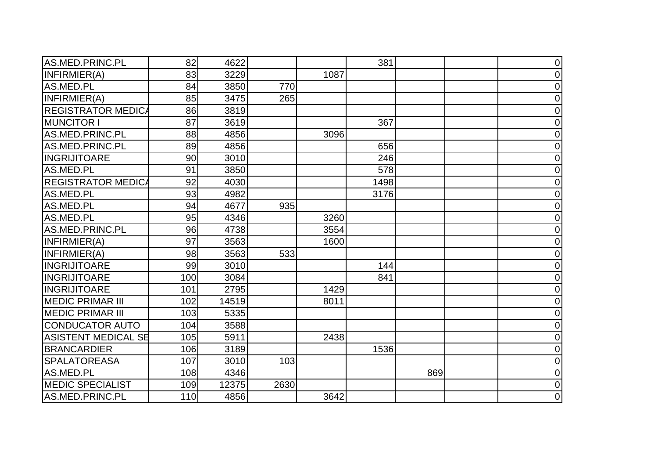| AS.MED.PRINC.PL            | 82  | 4622  |      |      | 381  |     | $\overline{0}$ |
|----------------------------|-----|-------|------|------|------|-----|----------------|
| INFIRMIER(A)               | 83  | 3229  |      | 1087 |      |     | $\overline{0}$ |
| AS.MED.PL                  | 84  | 3850  | 770  |      |      |     | 0              |
| INFIRMIER(A)               | 85  | 3475  | 265  |      |      |     | $\overline{0}$ |
| <b>REGISTRATOR MEDICA</b>  | 86  | 3819  |      |      |      |     | $\overline{0}$ |
| <b>MUNCITOR I</b>          | 87  | 3619  |      |      | 367  |     | 0              |
| AS.MED.PRINC.PL            | 88  | 4856  |      | 3096 |      |     | 0              |
| AS.MED.PRINC.PL            | 89  | 4856  |      |      | 656  |     | 0              |
| <b>INGRIJITOARE</b>        | 90  | 3010  |      |      | 246  |     | 0              |
| AS.MED.PL                  | 91  | 3850  |      |      | 578  |     | 0              |
| <b>REGISTRATOR MEDICA</b>  | 92  | 4030  |      |      | 1498 |     | 0              |
| AS.MED.PL                  | 93  | 4982  |      |      | 3176 |     | $\overline{0}$ |
| AS.MED.PL                  | 94  | 4677  | 935  |      |      |     | $\overline{0}$ |
| AS.MED.PL                  | 95  | 4346  |      | 3260 |      |     | 0              |
| AS.MED.PRINC.PL            | 96  | 4738  |      | 3554 |      |     | 0              |
| INFIRMIER(A)               | 97  | 3563  |      | 1600 |      |     | 0              |
| INFIRMIER(A)               | 98  | 3563  | 533  |      |      |     | $\overline{0}$ |
| <b>INGRIJITOARE</b>        | 99  | 3010  |      |      | 144  |     | $\mathbf 0$    |
| <b>INGRIJITOARE</b>        | 100 | 3084  |      |      | 841  |     | $\overline{0}$ |
| <b>INGRIJITOARE</b>        | 101 | 2795  |      | 1429 |      |     | $\overline{0}$ |
| <b>MEDIC PRIMAR III</b>    | 102 | 14519 |      | 8011 |      |     | 0              |
| <b>MEDIC PRIMAR III</b>    | 103 | 5335  |      |      |      |     | 0              |
| <b>CONDUCATOR AUTO</b>     | 104 | 3588  |      |      |      |     | $\mathbf 0$    |
| <b>ASISTENT MEDICAL SE</b> | 105 | 5911  |      | 2438 |      |     | $\overline{0}$ |
| <b>BRANCARDIER</b>         | 106 | 3189  |      |      | 1536 |     | $\overline{0}$ |
| <b>SPALATOREASA</b>        | 107 | 3010  | 103  |      |      |     | 0              |
| AS.MED.PL                  | 108 | 4346  |      |      |      | 869 | $\overline{0}$ |
| <b>MEDIC SPECIALIST</b>    | 109 | 12375 | 2630 |      |      |     | $\overline{0}$ |
| AS.MED.PRINC.PL            | 110 | 4856  |      | 3642 |      |     | $\overline{0}$ |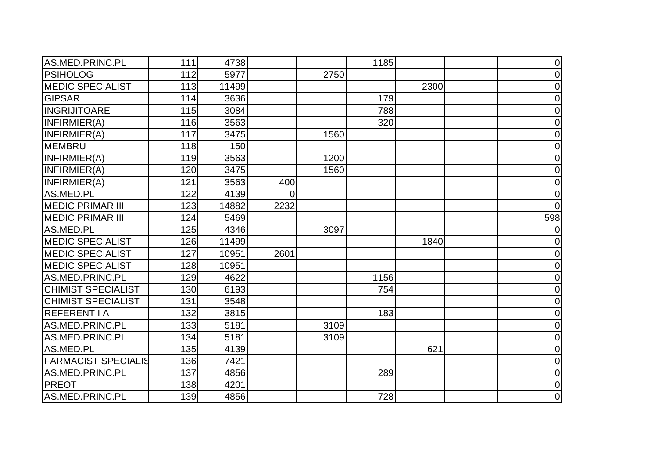| AS.MED.PRINC.PL            | 111 | 4738  |          |      | 1185 |      | $\overline{0}$ |
|----------------------------|-----|-------|----------|------|------|------|----------------|
| <b>PSIHOLOG</b>            | 112 | 5977  |          | 2750 |      |      | 0              |
| <b>MEDIC SPECIALIST</b>    | 113 | 11499 |          |      |      | 2300 | 0              |
| <b>GIPSAR</b>              | 114 | 3636  |          |      | 179  |      | 0              |
| <b>INGRIJITOARE</b>        | 115 | 3084  |          |      | 788  |      | 0              |
| INFIRMIER(A)               | 116 | 3563  |          |      | 320  |      | $\overline{0}$ |
| INFIRMIER(A)               | 117 | 3475  |          | 1560 |      |      | 0              |
| <b>MEMBRU</b>              | 118 | 150   |          |      |      |      | $\overline{0}$ |
| INFIRMIER(A)               | 119 | 3563  |          | 1200 |      |      | 0              |
| INFIRMIER(A)               | 120 | 3475  |          | 1560 |      |      | 0              |
| INFIRMIER(A)               | 121 | 3563  | 400      |      |      |      | 0              |
| AS.MED.PL                  | 122 | 4139  | $\Omega$ |      |      |      | 0              |
| <b>MEDIC PRIMAR III</b>    | 123 | 14882 | 2232     |      |      |      | $\Omega$       |
| <b>MEDIC PRIMAR III</b>    | 124 | 5469  |          |      |      |      | 598            |
| AS.MED.PL                  | 125 | 4346  |          | 3097 |      |      |                |
| <b>MEDIC SPECIALIST</b>    | 126 | 11499 |          |      |      | 1840 | 0              |
| <b>MEDIC SPECIALIST</b>    | 127 | 10951 | 2601     |      |      |      | 0              |
| <b>MEDIC SPECIALIST</b>    | 128 | 10951 |          |      |      |      | $\overline{0}$ |
| AS.MED.PRINC.PL            | 129 | 4622  |          |      | 1156 |      | $\overline{0}$ |
| <b>CHIMIST SPECIALIST</b>  | 130 | 6193  |          |      | 754  |      | $\overline{0}$ |
| <b>CHIMIST SPECIALIST</b>  | 131 | 3548  |          |      |      |      | 0              |
| <b>REFERENT I A</b>        | 132 | 3815  |          |      | 183  |      | 0              |
| AS.MED.PRINC.PL            | 133 | 5181  |          | 3109 |      |      | $\mathbf 0$    |
| AS.MED.PRINC.PL            | 134 | 5181  |          | 3109 |      |      | $\overline{0}$ |
| AS.MED.PL                  | 135 | 4139  |          |      |      | 621  | 0              |
| <b>FARMACIST SPECIALIS</b> | 136 | 7421  |          |      |      |      | $\overline{0}$ |
| AS.MED.PRINC.PL            | 137 | 4856  |          |      | 289  |      | $\overline{0}$ |
| <b>PREOT</b>               | 138 | 4201  |          |      |      |      | 0              |
| AS.MED.PRINC.PL            | 139 | 4856  |          |      | 728  |      | $\overline{0}$ |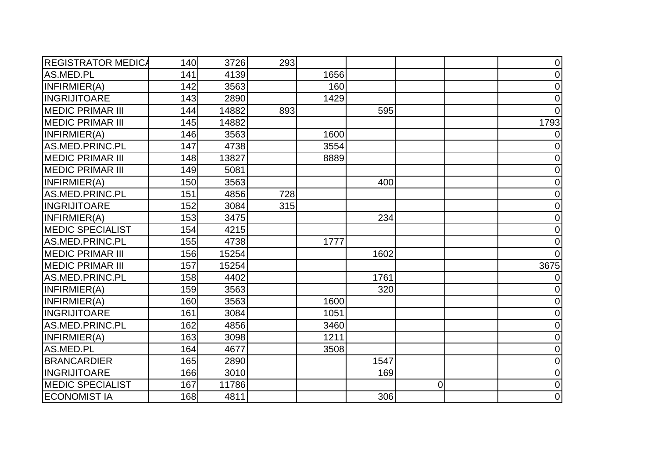| <b>REGISTRATOR MEDICA</b> | 140 | 3726  | 293 |      |      |   | $\overline{0}$ |
|---------------------------|-----|-------|-----|------|------|---|----------------|
| AS.MED.PL                 | 141 | 4139  |     | 1656 |      |   | 0              |
| INFIRMIER(A)              | 142 | 3563  |     | 160  |      |   | $\mathbf 0$    |
| <b>INGRIJITOARE</b>       | 143 | 2890  |     | 1429 |      |   | $\overline{0}$ |
| <b>MEDIC PRIMAR III</b>   | 144 | 14882 | 893 |      | 595  |   | $\Omega$       |
| <b>MEDIC PRIMAR III</b>   | 145 | 14882 |     |      |      |   | 1793           |
| INFIRMIER(A)              | 146 | 3563  |     | 1600 |      |   |                |
| AS.MED.PRINC.PL           | 147 | 4738  |     | 3554 |      |   | 0              |
| <b>MEDIC PRIMAR III</b>   | 148 | 13827 |     | 8889 |      |   | 0              |
| <b>MEDIC PRIMAR III</b>   | 149 | 5081  |     |      |      |   | $\overline{0}$ |
| INFIRMIER(A)              | 150 | 3563  |     |      | 400  |   | $\mathbf 0$    |
| AS.MED.PRINC.PL           | 151 | 4856  | 728 |      |      |   | $\overline{0}$ |
| <b>INGRIJITOARE</b>       | 152 | 3084  | 315 |      |      |   | $\Omega$       |
| INFIRMIER(A)              | 153 | 3475  |     |      | 234  |   | 0              |
| <b>MEDIC SPECIALIST</b>   | 154 | 4215  |     |      |      |   | $\overline{0}$ |
| AS.MED.PRINC.PL           | 155 | 4738  |     | 1777 |      |   | $\mathbf 0$    |
| <b>MEDIC PRIMAR III</b>   | 156 | 15254 |     |      | 1602 |   | $\Omega$       |
| <b>MEDIC PRIMAR III</b>   | 157 | 15254 |     |      |      |   | 3675           |
| AS.MED.PRINC.PL           | 158 | 4402  |     |      | 1761 |   | 0              |
| INFIRMIER(A)              | 159 | 3563  |     |      | 320  |   | 0              |
| INFIRMIER(A)              | 160 | 3563  |     | 1600 |      |   | 0              |
| <b>INGRIJITOARE</b>       | 161 | 3084  |     | 1051 |      |   | 0              |
| AS.MED.PRINC.PL           | 162 | 4856  |     | 3460 |      |   | $\overline{0}$ |
| INFIRMIER(A)              | 163 | 3098  |     | 1211 |      |   | $\overline{0}$ |
| AS.MED.PL                 | 164 | 4677  |     | 3508 |      |   | 0              |
| <b>BRANCARDIER</b>        | 165 | 2890  |     |      | 1547 |   | $\overline{0}$ |
| <b>INGRIJITOARE</b>       | 166 | 3010  |     |      | 169  |   | $\overline{0}$ |
| <b>MEDIC SPECIALIST</b>   | 167 | 11786 |     |      |      | 0 | 0              |
| <b>ECONOMIST IA</b>       | 168 | 4811  |     |      | 306  |   | $\mathbf 0$    |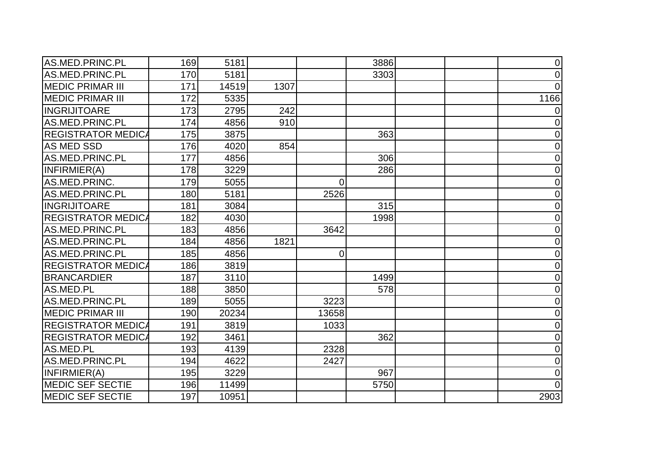| AS.MED.PRINC.PL           | 169 | 5181  |      |                | 3886 | $\overline{0}$ |
|---------------------------|-----|-------|------|----------------|------|----------------|
| AS.MED.PRINC.PL           | 170 | 5181  |      |                | 3303 | 0              |
| <b>MEDIC PRIMAR III</b>   | 171 | 14519 | 1307 |                |      | 0              |
| <b>MEDIC PRIMAR III</b>   | 172 | 5335  |      |                |      | 1166           |
| <b>INGRIJITOARE</b>       | 173 | 2795  | 242  |                |      | 0              |
| AS.MED.PRINC.PL           | 174 | 4856  | 910  |                |      | 0              |
| <b>REGISTRATOR MEDICA</b> | 175 | 3875  |      |                | 363  | 0              |
| <b>AS MED SSD</b>         | 176 | 4020  | 854  |                |      | 0              |
| AS.MED.PRINC.PL           | 177 | 4856  |      |                | 306  | 0              |
| INFIRMIER(A)              | 178 | 3229  |      |                | 286  | $\overline{0}$ |
| AS.MED.PRINC.             | 179 | 5055  |      | $\overline{0}$ |      | $\overline{0}$ |
| AS.MED.PRINC.PL           | 180 | 5181  |      | 2526           |      | 0              |
| <b>INGRIJITOARE</b>       | 181 | 3084  |      |                | 315  | 0              |
| <b>REGISTRATOR MEDICA</b> | 182 | 4030  |      |                | 1998 | 0              |
| AS.MED.PRINC.PL           | 183 | 4856  |      | 3642           |      | $\overline{0}$ |
| AS.MED.PRINC.PL           | 184 | 4856  | 1821 |                |      | 0              |
| AS.MED.PRINC.PL           | 185 | 4856  |      | $\Omega$       |      | $\Omega$       |
| <b>REGISTRATOR MEDICA</b> | 186 | 3819  |      |                |      | $\Omega$       |
| <b>BRANCARDIER</b>        | 187 | 3110  |      |                | 1499 | $\overline{0}$ |
| AS.MED.PL                 | 188 | 3850  |      |                | 578  | 0              |
| AS.MED.PRINC.PL           | 189 | 5055  |      | 3223           |      | 0              |
| <b>MEDIC PRIMAR III</b>   | 190 | 20234 |      | 13658          |      | 0              |
| <b>REGISTRATOR MEDICA</b> | 191 | 3819  |      | 1033           |      | $\mathbf 0$    |
| <b>REGISTRATOR MEDICA</b> | 192 | 3461  |      |                | 362  | 0              |
| AS.MED.PL                 | 193 | 4139  |      | 2328           |      | 0              |
| AS.MED.PRINC.PL           | 194 | 4622  |      | 2427           |      | $\Omega$       |
| INFIRMIER(A)              | 195 | 3229  |      |                | 967  | $\Omega$       |
| <b>MEDIC SEF SECTIE</b>   | 196 | 11499 |      |                | 5750 | 0              |
| <b>MEDIC SEF SECTIE</b>   | 197 | 10951 |      |                |      | 2903           |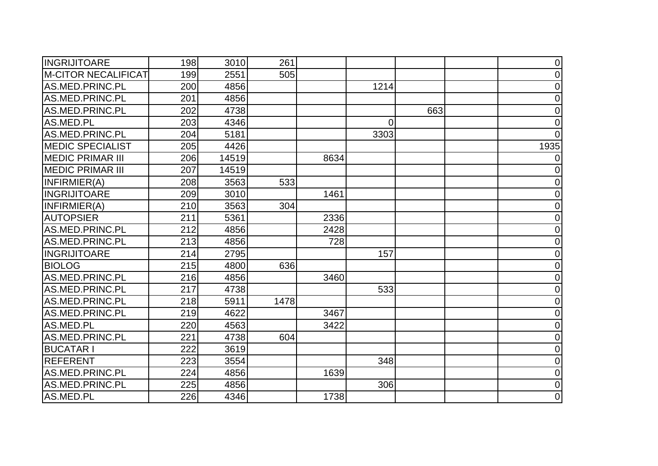| <b>INGRIJITOARE</b>        | 198 | 3010  | 261  |      |          |     | $\overline{0}$ |
|----------------------------|-----|-------|------|------|----------|-----|----------------|
| <b>M-CITOR NECALIFICAT</b> | 199 | 2551  | 505  |      |          |     | 0              |
| AS.MED.PRINC.PL            | 200 | 4856  |      |      | 1214     |     | $\mathbf 0$    |
| AS.MED.PRINC.PL            | 201 | 4856  |      |      |          |     | $\overline{0}$ |
| AS.MED.PRINC.PL            | 202 | 4738  |      |      |          | 663 | 0              |
| AS.MED.PL                  | 203 | 4346  |      |      | $\Omega$ |     | $\overline{0}$ |
| AS.MED.PRINC.PL            | 204 | 5181  |      |      | 3303     |     | $\Omega$       |
| <b>MEDIC SPECIALIST</b>    | 205 | 4426  |      |      |          |     | 1935           |
| <b>MEDIC PRIMAR III</b>    | 206 | 14519 |      | 8634 |          |     | 0              |
| <b>MEDIC PRIMAR III</b>    | 207 | 14519 |      |      |          |     | 0              |
| INFIRMIER(A)               | 208 | 3563  | 533  |      |          |     | $\overline{0}$ |
| <b>INGRIJITOARE</b>        | 209 | 3010  |      | 1461 |          |     | 0              |
| INFIRMIER(A)               | 210 | 3563  | 304  |      |          |     | $\Omega$       |
| <b>AUTOPSIER</b>           | 211 | 5361  |      | 2336 |          |     | $\mathbf 0$    |
| AS.MED.PRINC.PL            | 212 | 4856  |      | 2428 |          |     | $\overline{0}$ |
| AS.MED.PRINC.PL            | 213 | 4856  |      | 728  |          |     | $\mathbf 0$    |
| <b>INGRIJITOARE</b>        | 214 | 2795  |      |      | 157      |     | 0              |
| <b>BIOLOG</b>              | 215 | 4800  | 636  |      |          |     | 0              |
| AS.MED.PRINC.PL            | 216 | 4856  |      | 3460 |          |     | $\overline{0}$ |
| AS.MED.PRINC.PL            | 217 | 4738  |      |      | 533      |     | $\overline{0}$ |
| AS.MED.PRINC.PL            | 218 | 5911  | 1478 |      |          |     | 0              |
| AS.MED.PRINC.PL            | 219 | 4622  |      | 3467 |          |     | 0              |
| AS.MED.PL                  | 220 | 4563  |      | 3422 |          |     | $\overline{0}$ |
| AS.MED.PRINC.PL            | 221 | 4738  | 604  |      |          |     | $\overline{0}$ |
| <b>BUCATAR I</b>           | 222 | 3619  |      |      |          |     | 0              |
| <b>REFERENT</b>            | 223 | 3554  |      |      | 348      |     | 0              |
| AS.MED.PRINC.PL            | 224 | 4856  |      | 1639 |          |     | $\overline{0}$ |
| AS.MED.PRINC.PL            | 225 | 4856  |      |      | 306      |     | 0              |
| AS.MED.PL                  | 226 | 4346  |      | 1738 |          |     | $\overline{0}$ |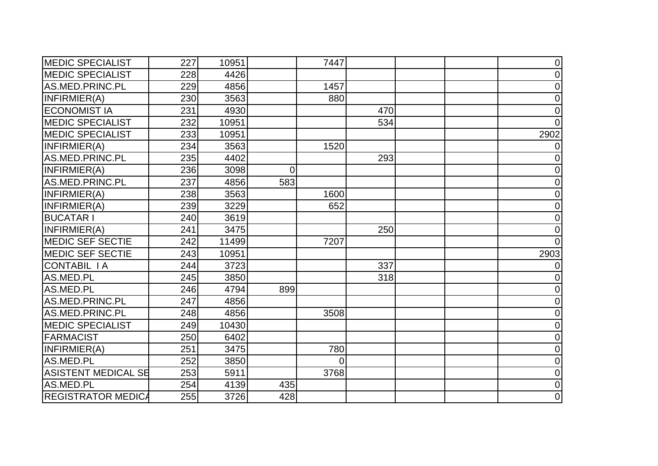| <b>MEDIC SPECIALIST</b>    | 227 | 10951 |                | 7447     |     | $\overline{0}$ |
|----------------------------|-----|-------|----------------|----------|-----|----------------|
| <b>MEDIC SPECIALIST</b>    | 228 | 4426  |                |          |     | 0              |
| AS.MED.PRINC.PL            | 229 | 4856  |                | 1457     |     | $\overline{0}$ |
| INFIRMIER(A)               | 230 | 3563  |                | 880      |     | $\overline{0}$ |
| <b>ECONOMIST IA</b>        | 231 | 4930  |                |          | 470 | $\Omega$       |
| <b>MEDIC SPECIALIST</b>    | 232 | 10951 |                |          | 534 |                |
| <b>MEDIC SPECIALIST</b>    | 233 | 10951 |                |          |     | 2902           |
| INFIRMIER(A)               | 234 | 3563  |                | 1520     |     |                |
| AS.MED.PRINC.PL            | 235 | 4402  |                |          | 293 | 0              |
| INFIRMIER(A)               | 236 | 3098  | $\overline{0}$ |          |     | 0              |
| AS.MED.PRINC.PL            | 237 | 4856  | 583            |          |     | $\overline{0}$ |
| INFIRMIER(A)               | 238 | 3563  |                | 1600     |     | $\overline{0}$ |
| INFIRMIER(A)               | 239 | 3229  |                | 652      |     | 0              |
| <b>BUCATAR I</b>           | 240 | 3619  |                |          |     | 0              |
| INFIRMIER(A)               | 241 | 3475  |                |          | 250 | 0              |
| <b>MEDIC SEF SECTIE</b>    | 242 | 11499 |                | 7207     |     | $\Omega$       |
| <b>MEDIC SEF SECTIE</b>    | 243 | 10951 |                |          |     | 2903           |
| <b>CONTABIL IA</b>         | 244 | 3723  |                |          | 337 |                |
| AS.MED.PL                  | 245 | 3850  |                |          | 318 | 0              |
| AS.MED.PL                  | 246 | 4794  | 899            |          |     | 0              |
| AS.MED.PRINC.PL            | 247 | 4856  |                |          |     | 0              |
| AS.MED.PRINC.PL            | 248 | 4856  |                | 3508     |     | 0              |
| <b>MEDIC SPECIALIST</b>    | 249 | 10430 |                |          |     | $\mathbf 0$    |
| <b>FARMACIST</b>           | 250 | 6402  |                |          |     | 0              |
| INFIRMIER(A)               | 251 | 3475  |                | 780      |     | $\overline{0}$ |
| AS.MED.PL                  | 252 | 3850  |                | $\Omega$ |     | $\Omega$       |
| <b>ASISTENT MEDICAL SE</b> | 253 | 5911  |                | 3768     |     | $\overline{0}$ |
| AS.MED.PL                  | 254 | 4139  | 435            |          |     | 0              |
| <b>REGISTRATOR MEDICA</b>  | 255 | 3726  | 428            |          |     | $\overline{0}$ |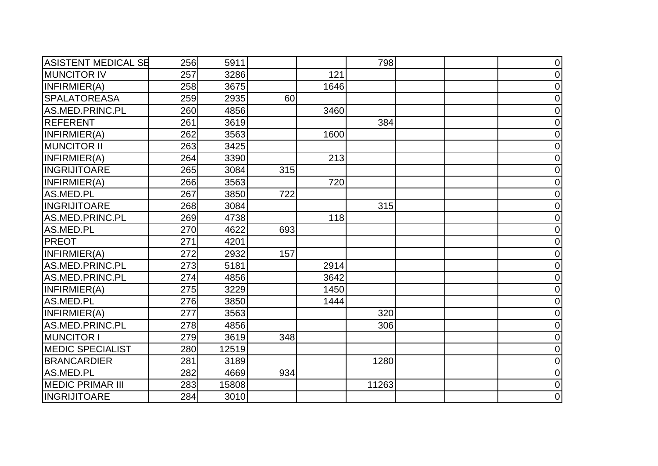| <b>ASISTENT MEDICAL SE</b> | 256 | 5911  |     |      | 798   | $\overline{0}$ |
|----------------------------|-----|-------|-----|------|-------|----------------|
| <b>MUNCITOR IV</b>         | 257 | 3286  |     | 121  |       | $\mathbf 0$    |
| INFIRMIER(A)               | 258 | 3675  |     | 1646 |       | $\overline{0}$ |
| <b>SPALATOREASA</b>        | 259 | 2935  | 60  |      |       | $\mathbf 0$    |
| AS.MED.PRINC.PL            | 260 | 4856  |     | 3460 |       | $\overline{0}$ |
| <b>REFERENT</b>            | 261 | 3619  |     |      | 384   | $\Omega$       |
| INFIRMIER(A)               | 262 | 3563  |     | 1600 |       | $\overline{0}$ |
| <b>MUNCITOR II</b>         | 263 | 3425  |     |      |       | $\overline{0}$ |
| INFIRMIER(A)               | 264 | 3390  |     | 213  |       | $\mathbf 0$    |
| <b>INGRIJITOARE</b>        | 265 | 3084  | 315 |      |       | $\overline{0}$ |
| INFIRMIER(A)               | 266 | 3563  |     | 720  |       | $\mathbf 0$    |
| AS.MED.PL                  | 267 | 3850  | 722 |      |       | $\mathbf 0$    |
| <b>INGRIJITOARE</b>        | 268 | 3084  |     |      | 315   | $\overline{0}$ |
| AS.MED.PRINC.PL            | 269 | 4738  |     | 118  |       | $\overline{0}$ |
| AS.MED.PL                  | 270 | 4622  | 693 |      |       | $\Omega$       |
| <b>PREOT</b>               | 271 | 4201  |     |      |       | $\mathbf 0$    |
| INFIRMIER(A)               | 272 | 2932  | 157 |      |       | $\overline{0}$ |
| AS.MED.PRINC.PL            | 273 | 5181  |     | 2914 |       | $\overline{0}$ |
| AS.MED.PRINC.PL            | 274 | 4856  |     | 3642 |       | $\overline{0}$ |
| INFIRMIER(A)               | 275 | 3229  |     | 1450 |       | $\overline{0}$ |
| AS.MED.PL                  | 276 | 3850  |     | 1444 |       | $\overline{0}$ |
| INFIRMIER(A)               | 277 | 3563  |     |      | 320   | $\overline{0}$ |
| AS.MED.PRINC.PL            | 278 | 4856  |     |      | 306   | $\overline{0}$ |
| <b>MUNCITOR I</b>          | 279 | 3619  | 348 |      |       | $\overline{0}$ |
| <b>MEDIC SPECIALIST</b>    | 280 | 12519 |     |      |       | $\mathbf 0$    |
| <b>BRANCARDIER</b>         | 281 | 3189  |     |      | 1280  | $\overline{0}$ |
| AS.MED.PL                  | 282 | 4669  | 934 |      |       | $\overline{0}$ |
| <b>MEDIC PRIMAR III</b>    | 283 | 15808 |     |      | 11263 | $\overline{0}$ |
| <b>INGRIJITOARE</b>        | 284 | 3010  |     |      |       | $\mathbf 0$    |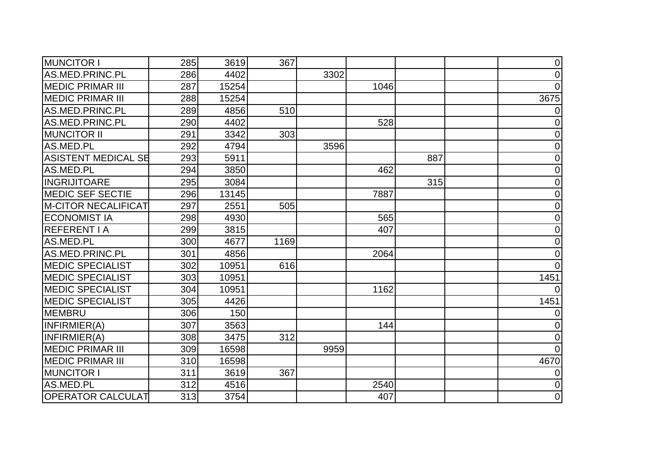| <b>MUNCITOR I</b>          | 285 | 3619  | 367  |      |      |     | $\overline{0}$ |
|----------------------------|-----|-------|------|------|------|-----|----------------|
| AS.MED.PRINC.PL            | 286 | 4402  |      | 3302 |      |     | 0              |
| <b>MEDIC PRIMAR III</b>    | 287 | 15254 |      |      | 1046 |     | $\Omega$       |
| <b>MEDIC PRIMAR III</b>    | 288 | 15254 |      |      |      |     | 3675           |
| AS.MED.PRINC.PL            | 289 | 4856  | 510  |      |      |     | 0              |
| AS.MED.PRINC.PL            | 290 | 4402  |      |      | 528  |     | $\Omega$       |
| <b>MUNCITOR II</b>         | 291 | 3342  | 303  |      |      |     | 0              |
| AS.MED.PL                  | 292 | 4794  |      | 3596 |      |     | 0              |
| <b>ASISTENT MEDICAL SE</b> | 293 | 5911  |      |      |      | 887 | 0              |
| AS.MED.PL                  | 294 | 3850  |      |      | 462  |     | 0              |
| <b>INGRIJITOARE</b>        | 295 | 3084  |      |      |      | 315 | $\overline{0}$ |
| <b>MEDIC SEF SECTIE</b>    | 296 | 13145 |      |      | 7887 |     | 0              |
| <b>M-CITOR NECALIFICAT</b> | 297 | 2551  | 505  |      |      |     | $\overline{0}$ |
| <b>ECONOMIST IA</b>        | 298 | 4930  |      |      | 565  |     | 0              |
| <b>REFERENT I A</b>        | 299 | 3815  |      |      | 407  |     | $\overline{0}$ |
| AS.MED.PL                  | 300 | 4677  | 1169 |      |      |     | 0              |
| AS.MED.PRINC.PL            | 301 | 4856  |      |      | 2064 |     | $\overline{0}$ |
| <b>MEDIC SPECIALIST</b>    | 302 | 10951 | 616  |      |      |     | $\Omega$       |
| <b>MEDIC SPECIALIST</b>    | 303 | 10951 |      |      |      |     | 1451           |
| <b>MEDIC SPECIALIST</b>    | 304 | 10951 |      |      | 1162 |     |                |
| <b>MEDIC SPECIALIST</b>    | 305 | 4426  |      |      |      |     | 1451           |
| <b>MEMBRU</b>              | 306 | 150   |      |      |      |     |                |
| INFIRMIER(A)               | 307 | 3563  |      |      | 144  |     | 0              |
| INFIRMIER(A)               | 308 | 3475  | 312  |      |      |     | $\overline{0}$ |
| <b>MEDIC PRIMAR III</b>    | 309 | 16598 |      | 9959 |      |     | $\Omega$       |
| <b>MEDIC PRIMAR III</b>    | 310 | 16598 |      |      |      |     | 4670           |
| <b>MUNCITOR I</b>          | 311 | 3619  | 367  |      |      |     |                |
| AS.MED.PL                  | 312 | 4516  |      |      | 2540 |     | $\overline{0}$ |
| <b>OPERATOR CALCULAT</b>   | 313 | 3754  |      |      | 407  |     | $\mathbf 0$    |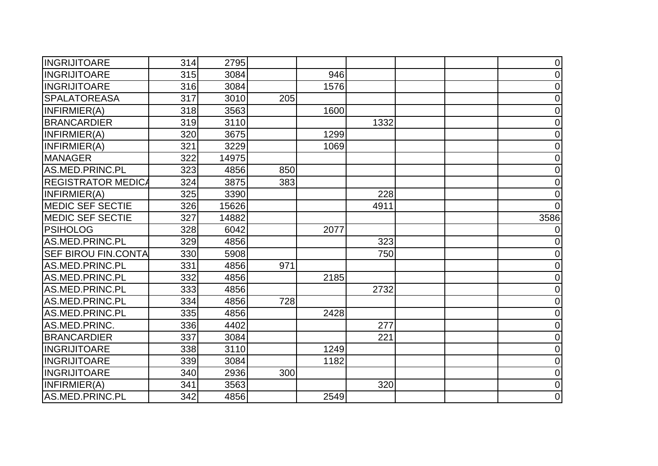| <b>INGRIJITOARE</b>        | 314 | 2795  |     |      |      | $\overline{0}$ |
|----------------------------|-----|-------|-----|------|------|----------------|
| <b>INGRIJITOARE</b>        | 315 | 3084  |     | 946  |      | 0              |
| <b>INGRIJITOARE</b>        | 316 | 3084  |     | 1576 |      | $\mathbf 0$    |
| <b>SPALATOREASA</b>        | 317 | 3010  | 205 |      |      | $\overline{0}$ |
| INFIRMIER(A)               | 318 | 3563  |     | 1600 |      | $\overline{0}$ |
| <b>BRANCARDIER</b>         | 319 | 3110  |     |      | 1332 | $\overline{0}$ |
| INFIRMIER(A)               | 320 | 3675  |     | 1299 |      | $\overline{0}$ |
| INFIRMIER(A)               | 321 | 3229  |     | 1069 |      | $\overline{0}$ |
| <b>MANAGER</b>             | 322 | 14975 |     |      |      | $\mathbf 0$    |
| AS.MED.PRINC.PL            | 323 | 4856  | 850 |      |      | $\overline{0}$ |
| <b>REGISTRATOR MEDICA</b>  | 324 | 3875  | 383 |      |      | $\mathbf 0$    |
| INFIRMIER(A)               | 325 | 3390  |     |      | 228  | $\overline{0}$ |
| <b>MEDIC SEF SECTIE</b>    | 326 | 15626 |     |      | 4911 |                |
| <b>MEDIC SEF SECTIE</b>    | 327 | 14882 |     |      |      | 3586           |
| <b>PSIHOLOG</b>            | 328 | 6042  |     | 2077 |      | $\left($       |
| AS.MED.PRINC.PL            | 329 | 4856  |     |      | 323  | $\overline{0}$ |
| <b>SEF BIROU FIN.CONTA</b> | 330 | 5908  |     |      | 750  | $\Omega$       |
| AS.MED.PRINC.PL            | 331 | 4856  | 971 |      |      | 0              |
| AS.MED.PRINC.PL            | 332 | 4856  |     | 2185 |      | $\overline{0}$ |
| AS.MED.PRINC.PL            | 333 | 4856  |     |      | 2732 | $\overline{0}$ |
| AS.MED.PRINC.PL            | 334 | 4856  | 728 |      |      | $\overline{0}$ |
| AS.MED.PRINC.PL            | 335 | 4856  |     | 2428 |      | $\mathbf 0$    |
| AS.MED.PRINC.              | 336 | 4402  |     |      | 277  | $\overline{0}$ |
| <b>BRANCARDIER</b>         | 337 | 3084  |     |      | 221  | $\overline{0}$ |
| <b>INGRIJITOARE</b>        | 338 | 3110  |     | 1249 |      | 0              |
| <b>INGRIJITOARE</b>        | 339 | 3084  |     | 1182 |      | 0              |
| <b>INGRIJITOARE</b>        | 340 | 2936  | 300 |      |      | $\overline{0}$ |
| INFIRMIER(A)               | 341 | 3563  |     |      | 320  | 0              |
| AS.MED.PRINC.PL            | 342 | 4856  |     | 2549 |      | $\overline{0}$ |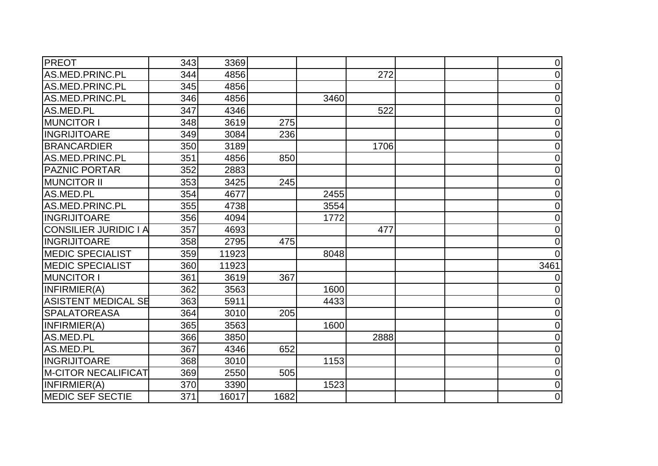| PREOT                        | 343 | 3369  |      |      |      | 0              |
|------------------------------|-----|-------|------|------|------|----------------|
| AS.MED.PRINC.PL              | 344 | 4856  |      |      | 272  | 0              |
| AS.MED.PRINC.PL              | 345 | 4856  |      |      |      | $\overline{0}$ |
| AS.MED.PRINC.PL              | 346 | 4856  |      | 3460 |      | 0              |
| AS.MED.PL                    | 347 | 4346  |      |      | 522  | $\overline{0}$ |
| <b>MUNCITOR I</b>            | 348 | 3619  | 275  |      |      | $\overline{0}$ |
| <b>INGRIJITOARE</b>          | 349 | 3084  | 236  |      |      | 0              |
| <b>BRANCARDIER</b>           | 350 | 3189  |      |      | 1706 | 0              |
| AS.MED.PRINC.PL              | 351 | 4856  | 850  |      |      | $\mathbf 0$    |
| <b>PAZNIC PORTAR</b>         | 352 | 2883  |      |      |      | $\overline{0}$ |
| <b>MUNCITOR II</b>           | 353 | 3425  | 245  |      |      | 0              |
| AS.MED.PL                    | 354 | 4677  |      | 2455 |      | $\overline{0}$ |
| AS.MED.PRINC.PL              | 355 | 4738  |      | 3554 |      | $\Omega$       |
| <b>INGRIJITOARE</b>          | 356 | 4094  |      | 1772 |      | 0              |
| <b>CONSILIER JURIDIC I A</b> | 357 | 4693  |      |      | 477  | $\overline{0}$ |
| <b>INGRIJITOARE</b>          | 358 | 2795  | 475  |      |      | $\overline{0}$ |
| <b>MEDIC SPECIALIST</b>      | 359 | 11923 |      | 8048 |      | 0              |
| <b>MEDIC SPECIALIST</b>      | 360 | 11923 |      |      |      | 3461           |
| <b>MUNCITOR I</b>            | 361 | 3619  | 367  |      |      |                |
| INFIRMIER(A)                 | 362 | 3563  |      | 1600 |      | 0              |
| <b>ASISTENT MEDICAL SE</b>   | 363 | 5911  |      | 4433 |      | 0              |
| <b>SPALATOREASA</b>          | 364 | 3010  | 205  |      |      | $\overline{0}$ |
| INFIRMIER(A)                 | 365 | 3563  |      | 1600 |      | 0              |
| AS.MED.PL                    | 366 | 3850  |      |      | 2888 | $\overline{0}$ |
| AS.MED.PL                    | 367 | 4346  | 652  |      |      | 0              |
| <b>INGRIJITOARE</b>          | 368 | 3010  |      | 1153 |      | $\overline{0}$ |
| <b>M-CITOR NECALIFICAT</b>   | 369 | 2550  | 505  |      |      | $\overline{0}$ |
| INFIRMIER(A)                 | 370 | 3390  |      | 1523 |      | 0              |
| <b>MEDIC SEF SECTIE</b>      | 371 | 16017 | 1682 |      |      | $\overline{0}$ |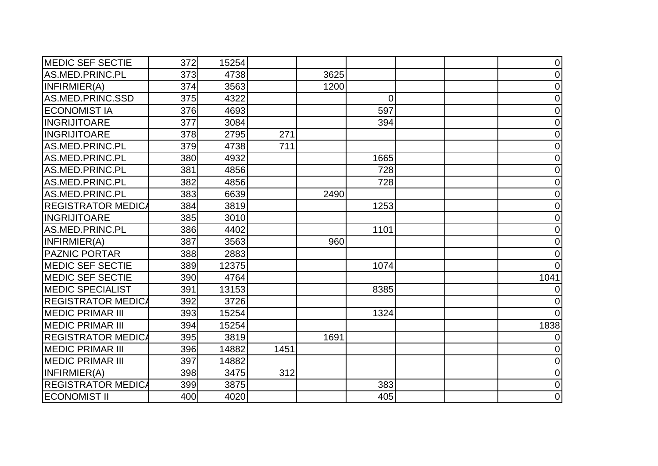| <b>MEDIC SEF SECTIE</b>   | 372 | 15254 |      |      |          | $\overline{0}$ |
|---------------------------|-----|-------|------|------|----------|----------------|
| AS.MED.PRINC.PL           | 373 | 4738  |      | 3625 |          | 0              |
| INFIRMIER(A)              | 374 | 3563  |      | 1200 |          | $\overline{0}$ |
| AS.MED.PRINC.SSD          | 375 | 4322  |      |      | $\Omega$ | $\overline{0}$ |
| <b>ECONOMIST IA</b>       | 376 | 4693  |      |      | 597      | 0              |
| <b>INGRIJITOARE</b>       | 377 | 3084  |      |      | 394      | $\overline{0}$ |
| <b>INGRIJITOARE</b>       | 378 | 2795  | 271  |      |          | 0              |
| AS.MED.PRINC.PL           | 379 | 4738  | 711  |      |          | $\overline{0}$ |
| AS.MED.PRINC.PL           | 380 | 4932  |      |      | 1665     | 0              |
| AS.MED.PRINC.PL           | 381 | 4856  |      |      | 728      | $\overline{0}$ |
| AS.MED.PRINC.PL           | 382 | 4856  |      |      | 728      | 0              |
| AS.MED.PRINC.PL           | 383 | 6639  |      | 2490 |          | 0              |
| <b>REGISTRATOR MEDICA</b> | 384 | 3819  |      |      | 1253     | 0              |
| <b>INGRIJITOARE</b>       | 385 | 3010  |      |      |          | 0              |
| AS.MED.PRINC.PL           | 386 | 4402  |      |      | 1101     | $\overline{0}$ |
| INFIRMIER(A)              | 387 | 3563  |      | 960  |          | 0              |
| <b>PAZNIC PORTAR</b>      | 388 | 2883  |      |      |          | $\Omega$       |
| <b>MEDIC SEF SECTIE</b>   | 389 | 12375 |      |      | 1074     | $\Omega$       |
| <b>MEDIC SEF SECTIE</b>   | 390 | 4764  |      |      |          | 1041           |
| <b>MEDIC SPECIALIST</b>   | 391 | 13153 |      |      | 8385     |                |
| <b>REGISTRATOR MEDICA</b> | 392 | 3726  |      |      |          |                |
| <b>MEDIC PRIMAR III</b>   | 393 | 15254 |      |      | 1324     | 0              |
| <b>MEDIC PRIMAR III</b>   | 394 | 15254 |      |      |          | 1838           |
| <b>REGISTRATOR MEDICA</b> | 395 | 3819  |      | 1691 |          | 0              |
| <b>MEDIC PRIMAR III</b>   | 396 | 14882 | 1451 |      |          | 0              |
| <b>MEDIC PRIMAR III</b>   | 397 | 14882 |      |      |          | $\Omega$       |
| INFIRMIER(A)              | 398 | 3475  | 312  |      |          | $\overline{0}$ |
| <b>REGISTRATOR MEDICA</b> | 399 | 3875  |      |      | 383      | 0              |
| <b>ECONOMIST II</b>       | 400 | 4020  |      |      | 405      | $\overline{0}$ |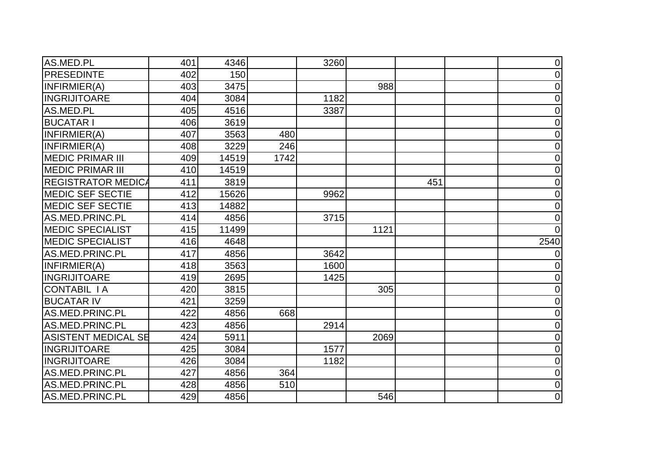| AS.MED.PL                 | 401 | 4346  |      | 3260 |      |     | $\overline{0}$ |
|---------------------------|-----|-------|------|------|------|-----|----------------|
| <b>PRESEDINTE</b>         | 402 | 150   |      |      |      |     | 0              |
| INFIRMIER(A)              | 403 | 3475  |      |      | 988  |     | $\mathbf 0$    |
| <b>INGRIJITOARE</b>       | 404 | 3084  |      | 1182 |      |     | $\overline{0}$ |
| AS.MED.PL                 | 405 | 4516  |      | 3387 |      |     | 0              |
| <b>BUCATAR I</b>          | 406 | 3619  |      |      |      |     | $\overline{0}$ |
| INFIRMIER(A)              | 407 | 3563  | 480  |      |      |     | 0              |
| INFIRMIER(A)              | 408 | 3229  | 246  |      |      |     | $\overline{0}$ |
| <b>MEDIC PRIMAR III</b>   | 409 | 14519 | 1742 |      |      |     | $\mathbf 0$    |
| <b>MEDIC PRIMAR III</b>   | 410 | 14519 |      |      |      |     | 0              |
| <b>REGISTRATOR MEDICA</b> | 411 | 3819  |      |      |      | 451 | 0              |
| <b>MEDIC SEF SECTIE</b>   | 412 | 15626 |      | 9962 |      |     | 0              |
| <b>MEDIC SEF SECTIE</b>   | 413 | 14882 |      |      |      |     | $\Omega$       |
| AS.MED.PRINC.PL           | 414 | 4856  |      | 3715 |      |     | $\overline{0}$ |
| <b>MEDIC SPECIALIST</b>   | 415 | 11499 |      |      | 1121 |     | <sup>0</sup>   |
| <b>MEDIC SPECIALIST</b>   | 416 | 4648  |      |      |      |     | 2540           |
| AS.MED.PRINC.PL           | 417 | 4856  |      | 3642 |      |     | 0              |
| INFIRMIER(A)              | 418 | 3563  |      | 1600 |      |     | 0              |
| <b>INGRIJITOARE</b>       | 419 | 2695  |      | 1425 |      |     | $\overline{0}$ |
| <b>CONTABIL IA</b>        | 420 | 3815  |      |      | 305  |     | $\overline{0}$ |
| <b>BUCATAR IV</b>         | 421 | 3259  |      |      |      |     | 0              |
| AS.MED.PRINC.PL           | 422 | 4856  | 668  |      |      |     | 0              |
| AS.MED.PRINC.PL           | 423 | 4856  |      | 2914 |      |     | $\overline{0}$ |
| ASISTENT MEDICAL SE       | 424 | 5911  |      |      | 2069 |     | $\overline{0}$ |
| <b>INGRIJITOARE</b>       | 425 | 3084  |      | 1577 |      |     | 0              |
| <b>INGRIJITOARE</b>       | 426 | 3084  |      | 1182 |      |     | 0              |
| AS.MED.PRINC.PL           | 427 | 4856  | 364  |      |      |     | $\overline{0}$ |
| AS.MED.PRINC.PL           | 428 | 4856  | 510  |      |      |     | 0              |
| AS.MED.PRINC.PL           | 429 | 4856  |      |      | 546  |     | $\mathbf 0$    |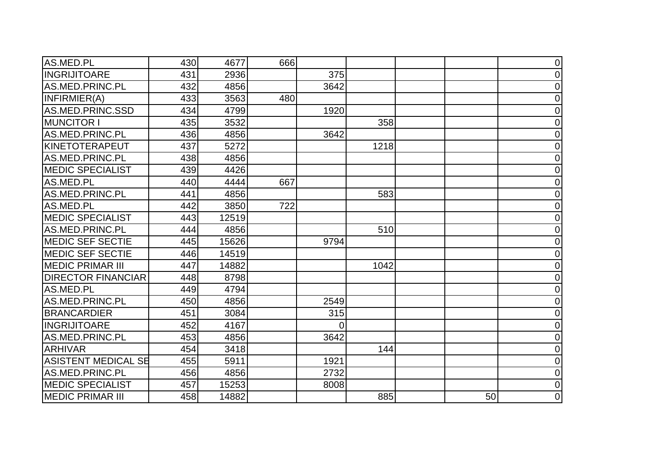| AS.MED.PL                  | 430 | 4677  | 666 |      |      |    | $\overline{0}$ |
|----------------------------|-----|-------|-----|------|------|----|----------------|
| <b>INGRIJITOARE</b>        | 431 | 2936  |     | 375  |      |    | 0              |
| AS.MED.PRINC.PL            | 432 | 4856  |     | 3642 |      |    | 0              |
| INFIRMIER(A)               | 433 | 3563  | 480 |      |      |    | $\overline{0}$ |
| AS.MED.PRINC.SSD           | 434 | 4799  |     | 1920 |      |    | 0              |
| <b>MUNCITOR I</b>          | 435 | 3532  |     |      | 358  |    | $\overline{0}$ |
| AS.MED.PRINC.PL            | 436 | 4856  |     | 3642 |      |    | 0              |
| <b>KINETOTERAPEUT</b>      | 437 | 5272  |     |      | 1218 |    | 0              |
| AS.MED.PRINC.PL            | 438 | 4856  |     |      |      |    | 0              |
| <b>MEDIC SPECIALIST</b>    | 439 | 4426  |     |      |      |    | 0              |
| AS.MED.PL                  | 440 | 4444  | 667 |      |      |    | $\overline{0}$ |
| AS.MED.PRINC.PL            | 441 | 4856  |     |      | 583  |    | 0              |
| AS.MED.PL                  | 442 | 3850  | 722 |      |      |    | $\overline{0}$ |
| <b>MEDIC SPECIALIST</b>    | 443 | 12519 |     |      |      |    | $\overline{0}$ |
| AS.MED.PRINC.PL            | 444 | 4856  |     |      | 510  |    | 0              |
| <b>MEDIC SEF SECTIE</b>    | 445 | 15626 |     | 9794 |      |    | 0              |
| <b>MEDIC SEF SECTIE</b>    | 446 | 14519 |     |      |      |    | 0              |
| <b>MEDIC PRIMAR III</b>    | 447 | 14882 |     |      | 1042 |    | $\overline{0}$ |
| <b>DIRECTOR FINANCIAR</b>  | 448 | 8798  |     |      |      |    | 0              |
| AS.MED.PL                  | 449 | 4794  |     |      |      |    | $\overline{0}$ |
| AS.MED.PRINC.PL            | 450 | 4856  |     | 2549 |      |    | 0              |
| <b>BRANCARDIER</b>         | 451 | 3084  |     | 315  |      |    | 0              |
| <b>INGRIJITOARE</b>        | 452 | 4167  |     | 0    |      |    | $\overline{0}$ |
| AS.MED.PRINC.PL            | 453 | 4856  |     | 3642 |      |    | 0              |
| <b>ARHIVAR</b>             | 454 | 3418  |     |      | 144  |    | $\overline{0}$ |
| <b>ASISTENT MEDICAL SE</b> | 455 | 5911  |     | 1921 |      |    | $\overline{0}$ |
| AS.MED.PRINC.PL            | 456 | 4856  |     | 2732 |      |    | $\overline{0}$ |
| <b>MEDIC SPECIALIST</b>    | 457 | 15253 |     | 8008 |      |    | 0              |
| <b>MEDIC PRIMAR III</b>    | 458 | 14882 |     |      | 885  | 50 | $\overline{0}$ |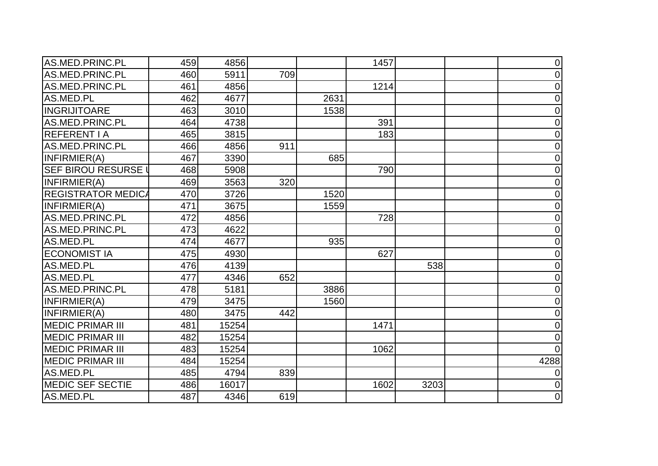| AS.MED.PRINC.PL            | 459 | 4856  |     |      | 1457 |      | $\overline{0}$ |
|----------------------------|-----|-------|-----|------|------|------|----------------|
| AS.MED.PRINC.PL            | 460 | 5911  | 709 |      |      |      | $\overline{0}$ |
| AS.MED.PRINC.PL            | 461 | 4856  |     |      | 1214 |      | $\mathbf 0$    |
| AS.MED.PL                  | 462 | 4677  |     | 2631 |      |      | $\overline{0}$ |
| <b>INGRIJITOARE</b>        | 463 | 3010  |     | 1538 |      |      | 0              |
| AS.MED.PRINC.PL            | 464 | 4738  |     |      | 391  |      | $\overline{0}$ |
| <b>REFERENT I A</b>        | 465 | 3815  |     |      | 183  |      | 0              |
| AS.MED.PRINC.PL            | 466 | 4856  | 911 |      |      |      | 0              |
| INFIRMIER(A)               | 467 | 3390  |     | 685  |      |      | $\overline{0}$ |
| <b>SEF BIROU RESURSE I</b> | 468 | 5908  |     |      | 790  |      | $\overline{0}$ |
| INFIRMIER(A)               | 469 | 3563  | 320 |      |      |      | 0              |
| <b>REGISTRATOR MEDICA</b>  | 470 | 3726  |     | 1520 |      |      | $\overline{0}$ |
| INFIRMIER(A)               | 471 | 3675  |     | 1559 |      |      | $\overline{0}$ |
| AS.MED.PRINC.PL            | 472 | 4856  |     |      | 728  |      | 0              |
| AS.MED.PRINC.PL            | 473 | 4622  |     |      |      |      | $\overline{0}$ |
| AS.MED.PL                  | 474 | 4677  |     | 935  |      |      | $\mathbf 0$    |
| <b>ECONOMIST IA</b>        | 475 | 4930  |     |      | 627  |      | $\overline{0}$ |
| AS.MED.PL                  | 476 | 4139  |     |      |      | 538  | 0              |
| AS.MED.PL                  | 477 | 4346  | 652 |      |      |      | $\overline{0}$ |
| AS.MED.PRINC.PL            | 478 | 5181  |     | 3886 |      |      | $\overline{0}$ |
| INFIRMIER(A)               | 479 | 3475  |     | 1560 |      |      | 0              |
| INFIRMIER(A)               | 480 | 3475  | 442 |      |      |      | 0              |
| <b>MEDIC PRIMAR III</b>    | 481 | 15254 |     |      | 1471 |      | $\overline{0}$ |
| <b>MEDIC PRIMAR III</b>    | 482 | 15254 |     |      |      |      | $\overline{0}$ |
| <b>MEDIC PRIMAR III</b>    | 483 | 15254 |     |      | 1062 |      | $\Omega$       |
| <b>MEDIC PRIMAR III</b>    | 484 | 15254 |     |      |      |      | 4288           |
| AS.MED.PL                  | 485 | 4794  | 839 |      |      |      | 0              |
| <b>MEDIC SEF SECTIE</b>    | 486 | 16017 |     |      | 1602 | 3203 | $\overline{0}$ |
| AS.MED.PL                  | 487 | 4346  | 619 |      |      |      | $\mathbf 0$    |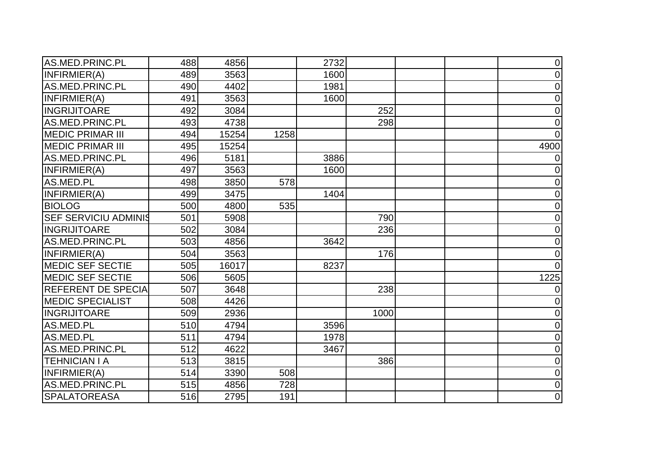| AS.MED.PRINC.PL             | 488 | 4856  |      | 2732 |      | $\overline{0}$ |
|-----------------------------|-----|-------|------|------|------|----------------|
| INFIRMIER(A)                | 489 | 3563  |      | 1600 |      | 0              |
| AS.MED.PRINC.PL             | 490 | 4402  |      | 1981 |      | $\mathbf 0$    |
| INFIRMIER(A)                | 491 | 3563  |      | 1600 |      | 0              |
| <b>INGRIJITOARE</b>         | 492 | 3084  |      |      | 252  | $\overline{0}$ |
| AS.MED.PRINC.PL             | 493 | 4738  |      |      | 298  | $\mathbf 0$    |
| <b>MEDIC PRIMAR III</b>     | 494 | 15254 | 1258 |      |      | $\Omega$       |
| <b>MEDIC PRIMAR III</b>     | 495 | 15254 |      |      |      | 4900           |
| AS.MED.PRINC.PL             | 496 | 5181  |      | 3886 |      | 0              |
| INFIRMIER(A)                | 497 | 3563  |      | 1600 |      | 0              |
| AS.MED.PL                   | 498 | 3850  | 578  |      |      | $\mathbf 0$    |
| INFIRMIER(A)                | 499 | 3475  |      | 1404 |      | $\Omega$       |
| <b>BIOLOG</b>               | 500 | 4800  | 535  |      |      | $\overline{0}$ |
| <b>SEF SERVICIU ADMINIS</b> | 501 | 5908  |      |      | 790  | 0              |
| <b>INGRIJITOARE</b>         | 502 | 3084  |      |      | 236  | $\overline{0}$ |
| AS.MED.PRINC.PL             | 503 | 4856  |      | 3642 |      | $\mathbf 0$    |
| INFIRMIER(A)                | 504 | 3563  |      |      | 176  | $\mathbf 0$    |
| <b>MEDIC SEF SECTIE</b>     | 505 | 16017 |      | 8237 |      | $\Omega$       |
| <b>MEDIC SEF SECTIE</b>     | 506 | 5605  |      |      |      | 1225           |
| <b>REFERENT DE SPECIA</b>   | 507 | 3648  |      |      | 238  | 0              |
| <b>MEDIC SPECIALIST</b>     | 508 | 4426  |      |      |      | 0              |
| <b>INGRIJITOARE</b>         | 509 | 2936  |      |      | 1000 | 0              |
| AS.MED.PL                   | 510 | 4794  |      | 3596 |      | $\mathbf 0$    |
| AS.MED.PL                   | 511 | 4794  |      | 1978 |      | 0              |
| AS.MED.PRINC.PL             | 512 | 4622  |      | 3467 |      | 0              |
| <b>TEHNICIAN I A</b>        | 513 | 3815  |      |      | 386  | 0              |
| INFIRMIER(A)                | 514 | 3390  | 508  |      |      | $\overline{0}$ |
| AS.MED.PRINC.PL             | 515 | 4856  | 728  |      |      | $\mathbf 0$    |
| <b>SPALATOREASA</b>         | 516 | 2795  | 191  |      |      | $\mathbf 0$    |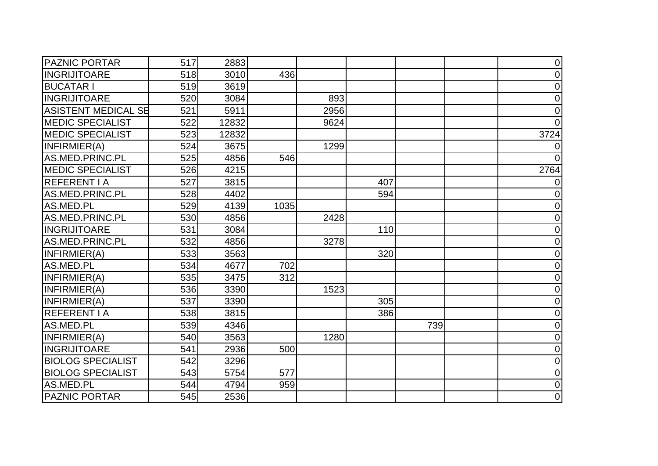| <b>PAZNIC PORTAR</b>       | 517 | 2883  |      |      |     |     | $\mathbf 0$    |
|----------------------------|-----|-------|------|------|-----|-----|----------------|
| <b>INGRIJITOARE</b>        | 518 | 3010  | 436  |      |     |     | $\Omega$       |
| <b>BUCATAR I</b>           | 519 | 3619  |      |      |     |     | $\mathbf 0$    |
| <b>INGRIJITOARE</b>        | 520 | 3084  |      | 893  |     |     | $\mathbf 0$    |
| <b>ASISTENT MEDICAL SE</b> | 521 | 5911  |      | 2956 |     |     | $\mathbf 0$    |
| <b>MEDIC SPECIALIST</b>    | 522 | 12832 |      | 9624 |     |     |                |
| <b>MEDIC SPECIALIST</b>    | 523 | 12832 |      |      |     |     | 3724           |
| INFIRMIER(A)               | 524 | 3675  |      | 1299 |     |     |                |
| AS.MED.PRINC.PL            | 525 | 4856  | 546  |      |     |     | $\Omega$       |
| <b>MEDIC SPECIALIST</b>    | 526 | 4215  |      |      |     |     | 2764           |
| <b>REFERENT I A</b>        | 527 | 3815  |      |      | 407 |     |                |
| AS.MED.PRINC.PL            | 528 | 4402  |      |      | 594 |     | $\Omega$       |
| AS.MED.PL                  | 529 | 4139  | 1035 |      |     |     | 0              |
| AS.MED.PRINC.PL            | 530 | 4856  |      | 2428 |     |     | $\overline{0}$ |
| <b>INGRIJITOARE</b>        | 531 | 3084  |      |      | 110 |     | $\Omega$       |
| AS.MED.PRINC.PL            | 532 | 4856  |      | 3278 |     |     | $\mathbf 0$    |
| INFIRMIER(A)               | 533 | 3563  |      |      | 320 |     | $\mathbf 0$    |
| AS.MED.PL                  | 534 | 4677  | 702  |      |     |     | $\overline{0}$ |
| INFIRMIER(A)               | 535 | 3475  | 312  |      |     |     | $\mathbf 0$    |
| INFIRMIER(A)               | 536 | 3390  |      | 1523 |     |     | $\overline{0}$ |
| INFIRMIER(A)               | 537 | 3390  |      |      | 305 |     | 0              |
| <b>REFERENT I A</b>        | 538 | 3815  |      |      | 386 |     | $\overline{0}$ |
| AS.MED.PL                  | 539 | 4346  |      |      |     | 739 | $\mathbf 0$    |
| INFIRMIER(A)               | 540 | 3563  |      | 1280 |     |     | $\overline{0}$ |
| <b>INGRIJITOARE</b>        | 541 | 2936  | 500  |      |     |     | $\mathbf 0$    |
| <b>BIOLOG SPECIALIST</b>   | 542 | 3296  |      |      |     |     | $\mathbf 0$    |
| <b>BIOLOG SPECIALIST</b>   | 543 | 5754  | 577  |      |     |     | $\overline{0}$ |
| AS.MED.PL                  | 544 | 4794  | 959  |      |     |     | $\mathbf 0$    |
| <b>PAZNIC PORTAR</b>       | 545 | 2536  |      |      |     |     | $\mathbf 0$    |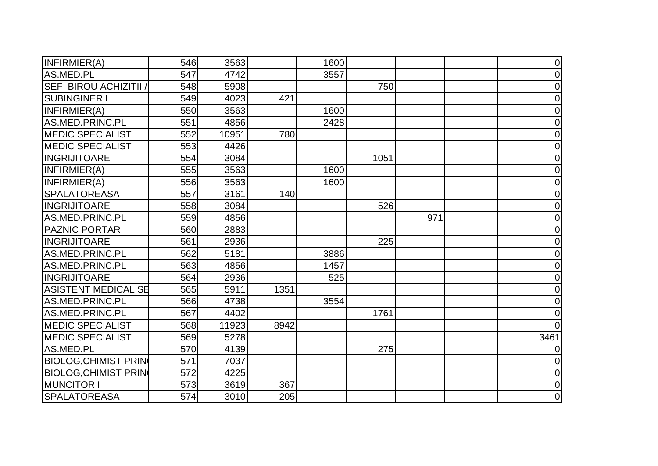| INFIRMIER(A)                 | 546 | 3563  |      | 1600 |      |     | $\overline{0}$ |
|------------------------------|-----|-------|------|------|------|-----|----------------|
| AS.MED.PL                    | 547 | 4742  |      | 3557 |      |     | 0              |
| <b>SEF BIROU ACHIZITII /</b> | 548 | 5908  |      |      | 750  |     | $\overline{0}$ |
| <b>SUBINGINER I</b>          | 549 | 4023  | 421  |      |      |     | $\overline{0}$ |
| INFIRMIER(A)                 | 550 | 3563  |      | 1600 |      |     | 0              |
| AS.MED.PRINC.PL              | 551 | 4856  |      | 2428 |      |     | 0              |
| <b>MEDIC SPECIALIST</b>      | 552 | 10951 | 780  |      |      |     | 0              |
| <b>MEDIC SPECIALIST</b>      | 553 | 4426  |      |      |      |     | 0              |
| <b>INGRIJITOARE</b>          | 554 | 3084  |      |      | 1051 |     | 0              |
| INFIRMIER(A)                 | 555 | 3563  |      | 1600 |      |     | $\mathbf 0$    |
| INFIRMIER(A)                 | 556 | 3563  |      | 1600 |      |     | $\overline{0}$ |
| <b>SPALATOREASA</b>          | 557 | 3161  | 140  |      |      |     | 0              |
| <b>INGRIJITOARE</b>          | 558 | 3084  |      |      | 526  |     | 0              |
| AS.MED.PRINC.PL              | 559 | 4856  |      |      |      | 971 | 0              |
| <b>PAZNIC PORTAR</b>         | 560 | 2883  |      |      |      |     | 0              |
| <b>INGRIJITOARE</b>          | 561 | 2936  |      |      | 225  |     | $\mathbf 0$    |
| AS.MED.PRINC.PL              | 562 | 5181  |      | 3886 |      |     | $\overline{0}$ |
| AS.MED.PRINC.PL              | 563 | 4856  |      | 1457 |      |     | $\overline{0}$ |
| <b>INGRIJITOARE</b>          | 564 | 2936  |      | 525  |      |     | $\Omega$       |
| <b>ASISTENT MEDICAL SE</b>   | 565 | 5911  | 1351 |      |      |     | $\Omega$       |
| AS.MED.PRINC.PL              | 566 | 4738  |      | 3554 |      |     | 0              |
| AS.MED.PRINC.PL              | 567 | 4402  |      |      | 1761 |     | 0              |
| <b>MEDIC SPECIALIST</b>      | 568 | 11923 | 8942 |      |      |     | $\Omega$       |
| <b>MEDIC SPECIALIST</b>      | 569 | 5278  |      |      |      |     | 3461           |
| AS.MED.PL                    | 570 | 4139  |      |      | 275  |     |                |
| <b>BIOLOG, CHIMIST PRIN</b>  | 571 | 7037  |      |      |      |     | 0              |
| <b>BIOLOG, CHIMIST PRIN</b>  | 572 | 4225  |      |      |      |     | $\overline{0}$ |
| <b>MUNCITOR I</b>            | 573 | 3619  | 367  |      |      |     | $\overline{0}$ |
| <b>SPALATOREASA</b>          | 574 | 3010  | 205  |      |      |     | $\mathbf 0$    |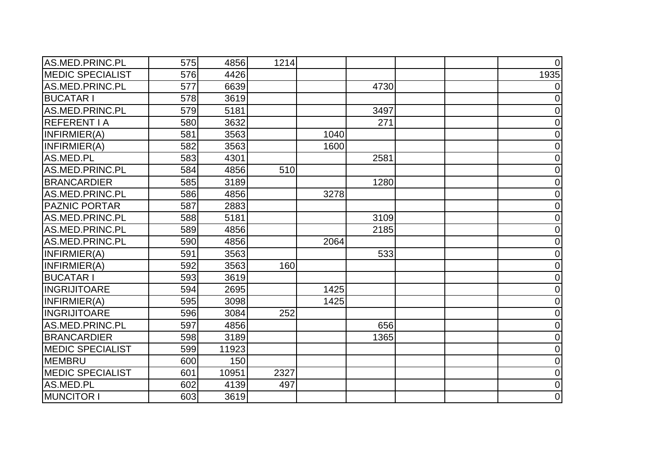| AS.MED.PRINC.PL         | 575 | 4856  | 1214 |      |      | $\Omega$       |
|-------------------------|-----|-------|------|------|------|----------------|
| <b>MEDIC SPECIALIST</b> | 576 | 4426  |      |      |      | 1935           |
| AS.MED.PRINC.PL         | 577 | 6639  |      |      | 4730 | $\Omega$       |
| <b>BUCATAR I</b>        | 578 | 3619  |      |      |      | $\Omega$       |
| AS.MED.PRINC.PL         | 579 | 5181  |      |      | 3497 | 0              |
| <b>REFERENT I A</b>     | 580 | 3632  |      |      | 271  | $\Omega$       |
| INFIRMIER(A)            | 581 | 3563  |      | 1040 |      | $\overline{0}$ |
| INFIRMIER(A)            | 582 | 3563  |      | 1600 |      | $\overline{0}$ |
| AS.MED.PL               | 583 | 4301  |      |      | 2581 | $\overline{0}$ |
| AS.MED.PRINC.PL         | 584 | 4856  | 510  |      |      | 0              |
| <b>BRANCARDIER</b>      | 585 | 3189  |      |      | 1280 | $\overline{0}$ |
| AS.MED.PRINC.PL         | 586 | 4856  |      | 3278 |      | $\overline{0}$ |
| <b>PAZNIC PORTAR</b>    | 587 | 2883  |      |      |      | $\overline{0}$ |
| AS.MED.PRINC.PL         | 588 | 5181  |      |      | 3109 | $\mathbf 0$    |
| AS.MED.PRINC.PL         | 589 | 4856  |      |      | 2185 | $\overline{0}$ |
| AS.MED.PRINC.PL         | 590 | 4856  |      | 2064 |      | $\mathbf 0$    |
| INFIRMIER(A)            | 591 | 3563  |      |      | 533  | $\overline{0}$ |
| INFIRMIER(A)            | 592 | 3563  | 160  |      |      | $\Omega$       |
| <b>BUCATAR I</b>        | 593 | 3619  |      |      |      | $\overline{0}$ |
| <b>INGRIJITOARE</b>     | 594 | 2695  |      | 1425 |      | $\overline{0}$ |
| INFIRMIER(A)            | 595 | 3098  |      | 1425 |      | $\mathbf 0$    |
| <b>INGRIJITOARE</b>     | 596 | 3084  | 252  |      |      | $\mathbf 0$    |
| AS.MED.PRINC.PL         | 597 | 4856  |      |      | 656  | $\Omega$       |
| <b>BRANCARDIER</b>      | 598 | 3189  |      |      | 1365 | $\mathbf 0$    |
| <b>MEDIC SPECIALIST</b> | 599 | 11923 |      |      |      | $\overline{0}$ |
| <b>MEMBRU</b>           | 600 | 150   |      |      |      | $\mathbf 0$    |
| <b>MEDIC SPECIALIST</b> | 601 | 10951 | 2327 |      |      | $\mathbf 0$    |
| AS.MED.PL               | 602 | 4139  | 497  |      |      | $\mathbf 0$    |
| <b>MUNCITOR I</b>       | 603 | 3619  |      |      |      | $\mathbf 0$    |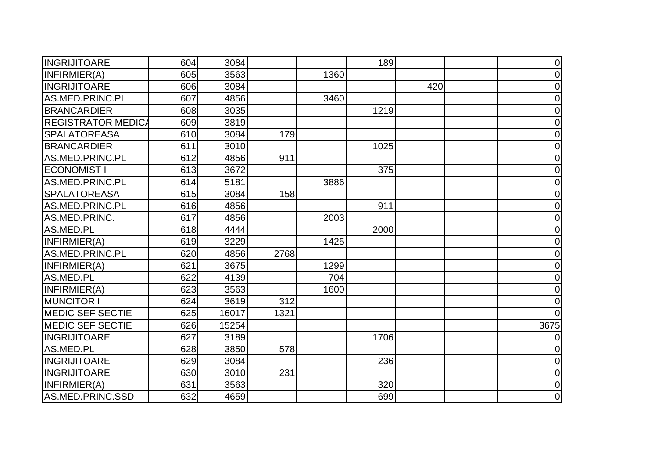| <b>INGRIJITOARE</b>       | 604 | 3084  |      |      | 189  |     | $\overline{0}$ |
|---------------------------|-----|-------|------|------|------|-----|----------------|
| INFIRMIER(A)              | 605 | 3563  |      | 1360 |      |     | 0              |
| <b>INGRIJITOARE</b>       | 606 | 3084  |      |      |      | 420 | $\mathbf 0$    |
| AS.MED.PRINC.PL           | 607 | 4856  |      | 3460 |      |     | $\mathbf 0$    |
| <b>BRANCARDIER</b>        | 608 | 3035  |      |      | 1219 |     | $\overline{0}$ |
| <b>REGISTRATOR MEDICA</b> | 609 | 3819  |      |      |      |     | $\mathbf 0$    |
| <b>SPALATOREASA</b>       | 610 | 3084  | 179  |      |      |     | $\overline{0}$ |
| <b>BRANCARDIER</b>        | 611 | 3010  |      |      | 1025 |     | $\Omega$       |
| AS.MED.PRINC.PL           | 612 | 4856  | 911  |      |      |     | $\overline{0}$ |
| <b>ECONOMIST I</b>        | 613 | 3672  |      |      | 375  |     | $\overline{0}$ |
| AS.MED.PRINC.PL           | 614 | 5181  |      | 3886 |      |     | $\overline{0}$ |
| <b>SPALATOREASA</b>       | 615 | 3084  | 158  |      |      |     | $\overline{0}$ |
| AS.MED.PRINC.PL           | 616 | 4856  |      |      | 911  |     | $\overline{0}$ |
| AS.MED.PRINC.             | 617 | 4856  |      | 2003 |      |     | 0              |
| AS.MED.PL                 | 618 | 4444  |      |      | 2000 |     | $\overline{0}$ |
| INFIRMIER(A)              | 619 | 3229  |      | 1425 |      |     | 0              |
| AS.MED.PRINC.PL           | 620 | 4856  | 2768 |      |      |     | $\mathbf 0$    |
| INFIRMIER(A)              | 621 | 3675  |      | 1299 |      |     | $\overline{0}$ |
| AS.MED.PL                 | 622 | 4139  |      | 704  |      |     | 0              |
| INFIRMIER(A)              | 623 | 3563  |      | 1600 |      |     | $\Omega$       |
| <b>MUNCITOR I</b>         | 624 | 3619  | 312  |      |      |     | 0              |
| <b>MEDIC SEF SECTIE</b>   | 625 | 16017 | 1321 |      |      |     |                |
| <b>MEDIC SEF SECTIE</b>   | 626 | 15254 |      |      |      |     | 3675           |
| <b>INGRIJITOARE</b>       | 627 | 3189  |      |      | 1706 |     | 0              |
| AS.MED.PL                 | 628 | 3850  | 578  |      |      |     | $\overline{0}$ |
| <b>INGRIJITOARE</b>       | 629 | 3084  |      |      | 236  |     | 0              |
| <b>INGRIJITOARE</b>       | 630 | 3010  | 231  |      |      |     | $\overline{0}$ |
| INFIRMIER(A)              | 631 | 3563  |      |      | 320  |     | $\overline{0}$ |
| AS.MED.PRINC.SSD          | 632 | 4659  |      |      | 699  |     | $\mathbf 0$    |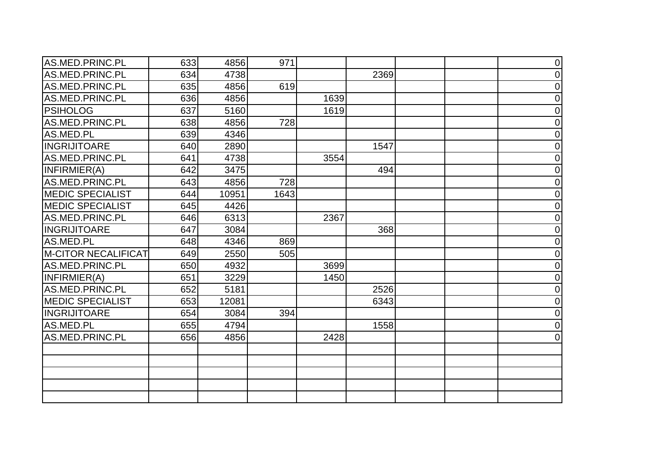| AS.MED.PRINC.PL            | 633 | 4856  | 971  |      |      |  | $\mathbf 0$    |
|----------------------------|-----|-------|------|------|------|--|----------------|
| AS.MED.PRINC.PL            | 634 | 4738  |      |      | 2369 |  | $\overline{0}$ |
| AS.MED.PRINC.PL            | 635 | 4856  | 619  |      |      |  | $\overline{0}$ |
| AS.MED.PRINC.PL            | 636 | 4856  |      | 1639 |      |  | $\overline{0}$ |
| <b>PSIHOLOG</b>            | 637 | 5160  |      | 1619 |      |  | $\overline{0}$ |
| AS.MED.PRINC.PL            | 638 | 4856  | 728  |      |      |  | $\overline{0}$ |
| AS.MED.PL                  | 639 | 4346  |      |      |      |  | $\overline{0}$ |
| <b>INGRIJITOARE</b>        | 640 | 2890  |      |      | 1547 |  | $\overline{0}$ |
| AS.MED.PRINC.PL            | 641 | 4738  |      | 3554 |      |  | $\overline{0}$ |
| INFIRMIER(A)               | 642 | 3475  |      |      | 494  |  | $\overline{0}$ |
| AS.MED.PRINC.PL            | 643 | 4856  | 728  |      |      |  | $\overline{0}$ |
| <b>MEDIC SPECIALIST</b>    | 644 | 10951 | 1643 |      |      |  | $\overline{0}$ |
| <b>MEDIC SPECIALIST</b>    | 645 | 4426  |      |      |      |  | $\overline{0}$ |
| AS.MED.PRINC.PL            | 646 | 6313  |      | 2367 |      |  | $\overline{0}$ |
| <b>INGRIJITOARE</b>        | 647 | 3084  |      |      | 368  |  | $\overline{0}$ |
| AS.MED.PL                  | 648 | 4346  | 869  |      |      |  | $\overline{0}$ |
| <b>M-CITOR NECALIFICAT</b> | 649 | 2550  | 505  |      |      |  | $\mathbf 0$    |
| AS.MED.PRINC.PL            | 650 | 4932  |      | 3699 |      |  | $\overline{0}$ |
| INFIRMIER(A)               | 651 | 3229  |      | 1450 |      |  | $\overline{0}$ |
| AS.MED.PRINC.PL            | 652 | 5181  |      |      | 2526 |  | $\overline{0}$ |
| <b>MEDIC SPECIALIST</b>    | 653 | 12081 |      |      | 6343 |  | $\overline{0}$ |
| <b>INGRIJITOARE</b>        | 654 | 3084  | 394  |      |      |  | $\overline{0}$ |
| AS.MED.PL                  | 655 | 4794  |      |      | 1558 |  | $\overline{0}$ |
| AS.MED.PRINC.PL            | 656 | 4856  |      | 2428 |      |  | $\overline{0}$ |
|                            |     |       |      |      |      |  |                |
|                            |     |       |      |      |      |  |                |
|                            |     |       |      |      |      |  |                |
|                            |     |       |      |      |      |  |                |
|                            |     |       |      |      |      |  |                |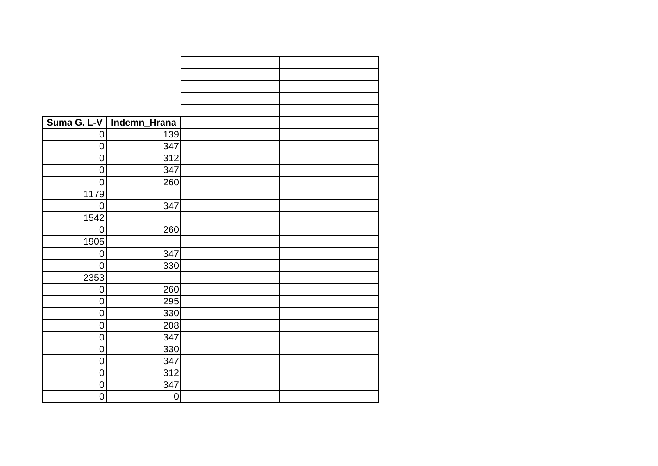| Suma G. L-V    | Indemn_Hrana |  |  |
|----------------|--------------|--|--|
| $\overline{0}$ | 139          |  |  |
| $\overline{0}$ | 347          |  |  |
| $\mathbf 0$    | 312          |  |  |
| $\mathbf 0$    | 347          |  |  |
| 0              | 260          |  |  |
| 1179           |              |  |  |
| 0              | 347          |  |  |
| 1542           |              |  |  |
| $\overline{0}$ | 260          |  |  |
| 1905           |              |  |  |
| 0              | 347          |  |  |
| $\overline{0}$ | 330          |  |  |
| 2353           |              |  |  |
| 0              | 260          |  |  |
| $\overline{0}$ | 295          |  |  |
| $\mathbf 0$    | 330          |  |  |
| $\mathbf 0$    | 208          |  |  |
| 0              | 347          |  |  |
| $\overline{0}$ | 330          |  |  |
| $\mathbf 0$    | 347          |  |  |
| $\overline{0}$ | 312          |  |  |
| $\mathbf 0$    | 347          |  |  |
| $\mathbf 0$    | $\mathbf 0$  |  |  |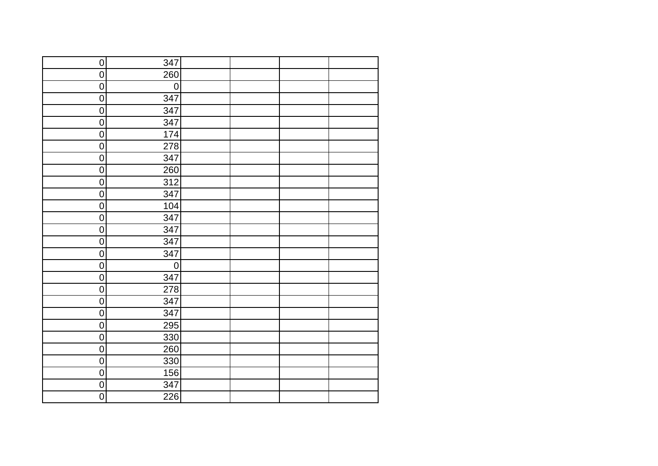| $\overline{0}$ | 347         |  |  |
|----------------|-------------|--|--|
| $\overline{0}$ | 260         |  |  |
| $\pmb{0}$      | $\mathbf 0$ |  |  |
| $\overline{0}$ | 347         |  |  |
| $\overline{0}$ | 347         |  |  |
| $\overline{0}$ | 347         |  |  |
| $\overline{0}$ | 174         |  |  |
| $\overline{0}$ | 278         |  |  |
| $\pmb{0}$      | 347         |  |  |
| $\overline{0}$ | 260         |  |  |
| $\pmb{0}$      | 312         |  |  |
| $\pmb{0}$      | 347         |  |  |
| $\pmb{0}$      | 104         |  |  |
| $\pmb{0}$      | 347         |  |  |
| $\mathbf 0$    | 347         |  |  |
| $\pmb{0}$      | 347         |  |  |
| $\overline{0}$ | 347         |  |  |
| $\pmb{0}$      | $\mathbf 0$ |  |  |
| $\overline{0}$ | 347         |  |  |
| $\mathbf 0$    | 278         |  |  |
| $\overline{0}$ | 347         |  |  |
| $\pmb{0}$      | 347         |  |  |
| $\overline{0}$ | 295         |  |  |
| $\overline{0}$ | 330         |  |  |
| $\overline{0}$ | 260         |  |  |
| $\overline{0}$ | 330         |  |  |
| $\overline{0}$ | 156         |  |  |
| $\pmb{0}$      | 347         |  |  |
| $\overline{0}$ | 226         |  |  |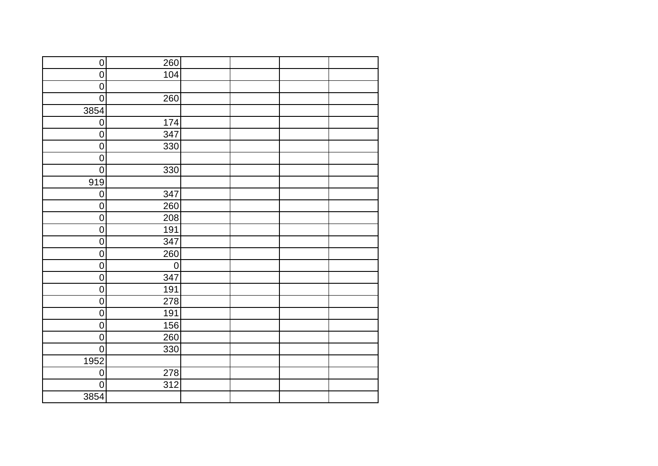| $\pmb{0}$        | 260         |  |  |
|------------------|-------------|--|--|
| $\overline{0}$   | 104         |  |  |
| $\mathbf 0$      |             |  |  |
| $\overline{0}$   | 260         |  |  |
| 3854             |             |  |  |
| $\overline{0}$   | 174         |  |  |
| $\pmb{0}$        | 347         |  |  |
| $\overline{0}$   | 330         |  |  |
| $\overline{0}$   |             |  |  |
| $\overline{0}$   | 330         |  |  |
| 919              |             |  |  |
| $\overline{0}$   | 347         |  |  |
| $\overline{0}$   | 260         |  |  |
| $\boldsymbol{0}$ | 208         |  |  |
| $\mathbf 0$      | 191         |  |  |
| $\pmb{0}$        | 347         |  |  |
| $\overline{0}$   | 260         |  |  |
| $\boldsymbol{0}$ | $\mathbf 0$ |  |  |
| $\boldsymbol{0}$ | 347         |  |  |
| $\mathbf 0$      | 191         |  |  |
| $\overline{0}$   | 278         |  |  |
| $\mathbf 0$      | 191         |  |  |
| $\overline{0}$   | 156         |  |  |
| $\overline{0}$   | 260         |  |  |
| $\overline{0}$   | 330         |  |  |
| 1952             |             |  |  |
| $\overline{0}$   | 278         |  |  |
| $\overline{0}$   | 312         |  |  |
| 3854             |             |  |  |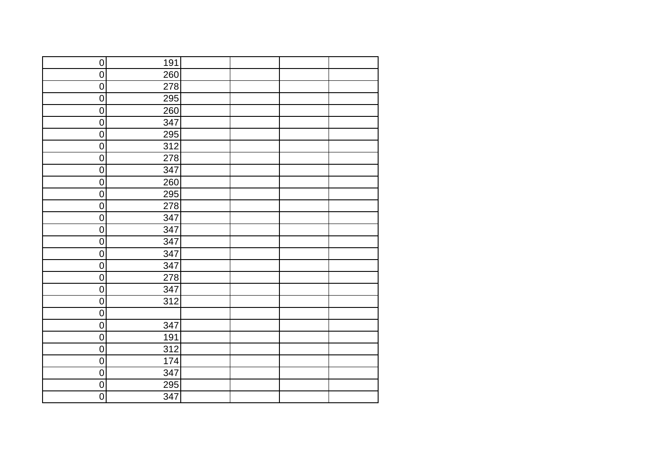| $\overline{0}$   | 191 |  |  |
|------------------|-----|--|--|
| $\overline{0}$   | 260 |  |  |
| $\pmb{0}$        | 278 |  |  |
| $\overline{0}$   | 295 |  |  |
| $\pmb{0}$        | 260 |  |  |
| $\overline{0}$   | 347 |  |  |
| $\overline{0}$   | 295 |  |  |
| $\overline{0}$   | 312 |  |  |
| $\boldsymbol{0}$ | 278 |  |  |
| $\overline{0}$   | 347 |  |  |
| $\pmb{0}$        | 260 |  |  |
| $\overline{0}$   | 295 |  |  |
| $\pmb{0}$        | 278 |  |  |
| $\pmb{0}$        | 347 |  |  |
| $\pmb{0}$        | 347 |  |  |
| $\mathsf 0$      | 347 |  |  |
| $\pmb{0}$        | 347 |  |  |
| $\pmb{0}$        | 347 |  |  |
| $\pmb{0}$        | 278 |  |  |
| $\pmb{0}$        | 347 |  |  |
| $\overline{0}$   | 312 |  |  |
| $\mathbf 0$      |     |  |  |
| $\overline{0}$   | 347 |  |  |
| $\overline{0}$   | 191 |  |  |
| $\overline{0}$   | 312 |  |  |
| $\overline{0}$   | 174 |  |  |
| $\overline{0}$   | 347 |  |  |
| $\pmb{0}$        | 295 |  |  |
| $\overline{0}$   | 347 |  |  |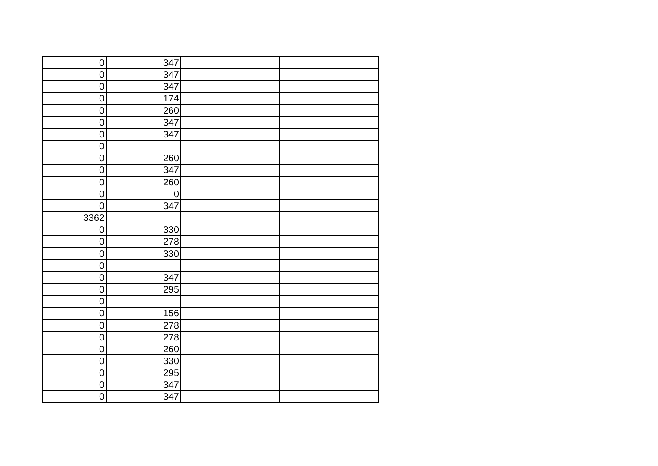| $\overline{0}$   | 347              |  |  |
|------------------|------------------|--|--|
| $\overline{0}$   | 347              |  |  |
| $\pmb{0}$        | 347              |  |  |
| $\overline{0}$   | 174              |  |  |
| $\boldsymbol{0}$ | 260              |  |  |
| $\overline{0}$   | 347              |  |  |
| $\overline{0}$   | 347              |  |  |
| $\overline{0}$   |                  |  |  |
| $\overline{0}$   | 260              |  |  |
| $\overline{0}$   | 347              |  |  |
| $\boldsymbol{0}$ | 260              |  |  |
| $\mathbf 0$      | $\mathbf 0$      |  |  |
| $\pmb{0}$        | 347              |  |  |
| 3362             |                  |  |  |
| $\pmb{0}$        | 330              |  |  |
| $\pmb{0}$        | 278              |  |  |
| $\overline{0}$   | 330              |  |  |
| $\mathbf 0$      |                  |  |  |
| $\overline{0}$   | 347              |  |  |
| $\overline{0}$   | 295              |  |  |
| $\overline{0}$   |                  |  |  |
| $\pmb{0}$        | 156              |  |  |
| $\boldsymbol{0}$ | $\overline{278}$ |  |  |
| $\boldsymbol{0}$ | 278              |  |  |
| 0                | 260              |  |  |
| $\overline{0}$   | 330              |  |  |
| $\boldsymbol{0}$ | 295              |  |  |
| $\boldsymbol{0}$ | 347              |  |  |
| $\overline{0}$   | 347              |  |  |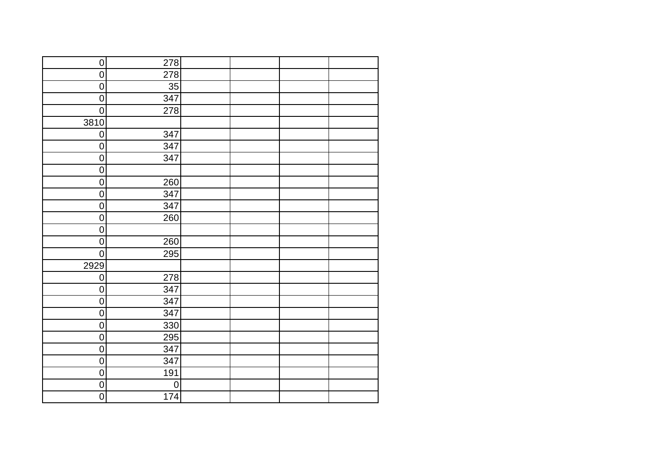| $\overline{0}$   | 278              |  |  |
|------------------|------------------|--|--|
| $\overline{0}$   | 278              |  |  |
| $\pmb{0}$        | 35               |  |  |
| $\overline{0}$   | 347              |  |  |
| $\overline{0}$   | 278              |  |  |
| 3810             |                  |  |  |
| $\overline{0}$   | 347              |  |  |
| $\overline{0}$   | 347              |  |  |
| $\overline{0}$   | 347              |  |  |
| $\overline{0}$   |                  |  |  |
| $\boldsymbol{0}$ | 260              |  |  |
| $\mathbf 0$      | 347              |  |  |
| $\mathbf 0$      | 347              |  |  |
| $\boldsymbol{0}$ | 260              |  |  |
| $\mathbf 0$      |                  |  |  |
| $\pmb{0}$        | 260              |  |  |
| $\overline{0}$   | 295              |  |  |
| 2929             |                  |  |  |
| $\overline{0}$   | 278              |  |  |
| $\mathsf 0$      | 347              |  |  |
| $\overline{0}$   | 347              |  |  |
| $\pmb{0}$        | 347              |  |  |
| $\overline{0}$   | 330              |  |  |
| $\boldsymbol{0}$ | 295              |  |  |
| 0                | $\overline{347}$ |  |  |
| $\overline{0}$   | 347              |  |  |
| $\overline{0}$   | 191              |  |  |
| $\overline{0}$   | $\mathbf 0$      |  |  |
| $\overline{0}$   | 174              |  |  |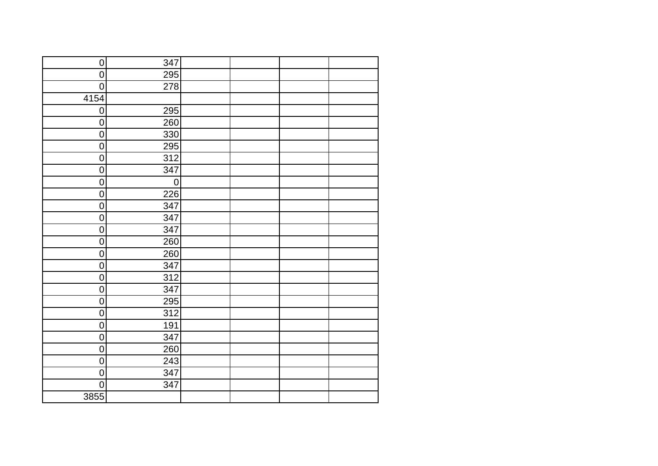| $\pmb{0}$      | 347              |  |  |
|----------------|------------------|--|--|
| $\overline{0}$ | 295              |  |  |
| $\mathsf 0$    | 278              |  |  |
| 4154           |                  |  |  |
| $\overline{0}$ | 295              |  |  |
| $\overline{0}$ | 260              |  |  |
| $\pmb{0}$      | 330              |  |  |
| $\overline{0}$ | $\overline{295}$ |  |  |
| $\overline{0}$ | 312              |  |  |
| $\overline{0}$ | 347              |  |  |
| $\pmb{0}$      | $\mathbf 0$      |  |  |
| $\overline{0}$ | 226              |  |  |
| $\pmb{0}$      | 347              |  |  |
| $\pmb{0}$      | 347              |  |  |
| $\mathsf 0$    | 347              |  |  |
| $\pmb{0}$      | 260              |  |  |
| $\mathsf 0$    | 260              |  |  |
| $\pmb{0}$      | 347              |  |  |
| $\pmb{0}$      | 312              |  |  |
| $\mathsf 0$    | 347              |  |  |
| $\overline{0}$ | 295              |  |  |
| $\pmb{0}$      | 312              |  |  |
| $\overline{0}$ | 191              |  |  |
| $\overline{0}$ | 347              |  |  |
| $\overline{0}$ | 260              |  |  |
| $\overline{0}$ | 243              |  |  |
| $\overline{0}$ | 347              |  |  |
| $\overline{0}$ | 347              |  |  |
| 3855           |                  |  |  |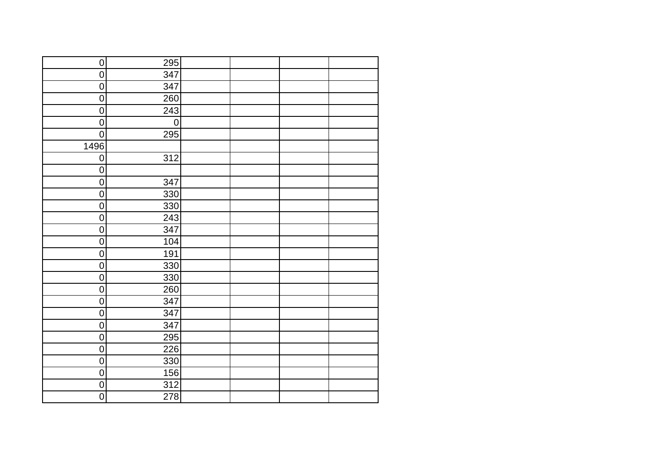| $\overline{0}$ | 295         |  |  |
|----------------|-------------|--|--|
| $\overline{0}$ | 347         |  |  |
| $\pmb{0}$      | 347         |  |  |
| $\overline{0}$ | 260         |  |  |
| $\pmb{0}$      | 243         |  |  |
| $\overline{0}$ | $\mathbf 0$ |  |  |
| $\overline{0}$ | 295         |  |  |
| 1496           |             |  |  |
| $\overline{0}$ | 312         |  |  |
| $\overline{0}$ |             |  |  |
| $\pmb{0}$      | 347         |  |  |
| $\overline{0}$ | 330         |  |  |
| $\pmb{0}$      | 330         |  |  |
| $\pmb{0}$      | 243         |  |  |
| $\pmb{0}$      | 347         |  |  |
| $\mathbf 0$    | 104         |  |  |
| $\pmb{0}$      | 191         |  |  |
| $\pmb{0}$      | 330         |  |  |
| $\pmb{0}$      | 330         |  |  |
| $\pmb{0}$      | 260         |  |  |
| $\overline{0}$ | 347         |  |  |
| $\mathbf 0$    | 347         |  |  |
| $\overline{0}$ | 347         |  |  |
| $\overline{0}$ | 295         |  |  |
| $\overline{0}$ | 226         |  |  |
| $\overline{0}$ | 330         |  |  |
| $\overline{0}$ | 156         |  |  |
| $\overline{0}$ | 312         |  |  |
| $\overline{0}$ | 278         |  |  |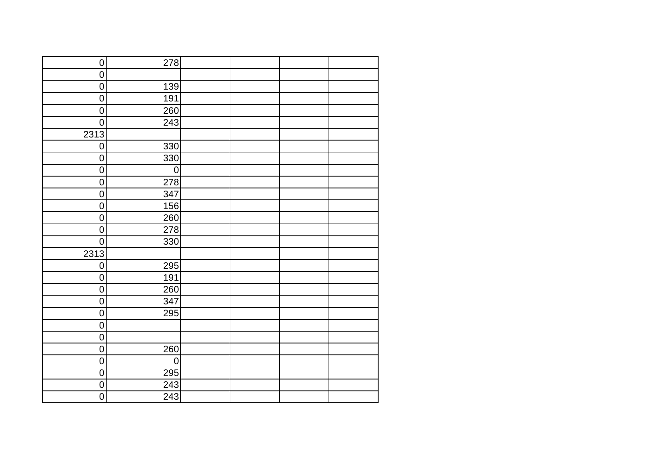| $\overline{0}$   | 278              |  |  |
|------------------|------------------|--|--|
| $\overline{0}$   |                  |  |  |
| $\pmb{0}$        | 139              |  |  |
| $\overline{0}$   | 191              |  |  |
| $\overline{0}$   | 260              |  |  |
| $\overline{0}$   | 243              |  |  |
| 2313             |                  |  |  |
| $\overline{0}$   | 330              |  |  |
| $\boldsymbol{0}$ | 330              |  |  |
| $\overline{0}$   | $\boldsymbol{0}$ |  |  |
| $\pmb{0}$        | 278              |  |  |
| $\overline{0}$   | 347              |  |  |
| $\mathbf 0$      | 156              |  |  |
| $\pmb{0}$        | 260              |  |  |
| $\pmb{0}$        | 278              |  |  |
| $\mathbf 0$      | 330              |  |  |
| 2313             |                  |  |  |
| $\mathbf 0$      | 295              |  |  |
| $\mathbf 0$      | 191              |  |  |
| $\pmb{0}$        | 260              |  |  |
| $\overline{0}$   | 347              |  |  |
| $\mathbf 0$      | 295              |  |  |
| $\overline{0}$   |                  |  |  |
| $\overline{0}$   |                  |  |  |
| $\overline{0}$   | 260              |  |  |
| $\overline{0}$   | $\mathbf 0$      |  |  |
| $\overline{0}$   | 295              |  |  |
| $\boldsymbol{0}$ | 243              |  |  |
| $\overline{0}$   | 243              |  |  |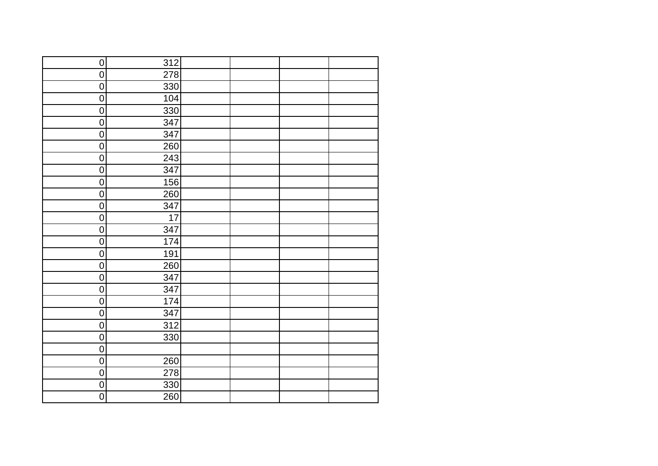| $\overline{0}$   | 312 |  |  |
|------------------|-----|--|--|
| $\overline{0}$   | 278 |  |  |
| $\pmb{0}$        | 330 |  |  |
| $\overline{0}$   | 104 |  |  |
| $\overline{0}$   | 330 |  |  |
| $\overline{0}$   | 347 |  |  |
| $\overline{0}$   | 347 |  |  |
| $\overline{0}$   | 260 |  |  |
| $\pmb{0}$        | 243 |  |  |
| $\overline{0}$   | 347 |  |  |
| $\pmb{0}$        | 156 |  |  |
| $\pmb{0}$        | 260 |  |  |
| $\mathbf 0$      | 347 |  |  |
| $\boldsymbol{0}$ | 17  |  |  |
| $\mathbf 0$      | 347 |  |  |
| $\pmb{0}$        | 174 |  |  |
| $\overline{0}$   | 191 |  |  |
| $\pmb{0}$        | 260 |  |  |
| $\overline{0}$   | 347 |  |  |
| $\mathsf 0$      | 347 |  |  |
| $\overline{0}$   | 174 |  |  |
| $\pmb{0}$        | 347 |  |  |
| $\overline{0}$   | 312 |  |  |
| $\overline{0}$   | 330 |  |  |
| $\overline{0}$   |     |  |  |
| $\overline{0}$   | 260 |  |  |
| $\overline{0}$   | 278 |  |  |
| $\overline{0}$   | 330 |  |  |
| $\overline{0}$   | 260 |  |  |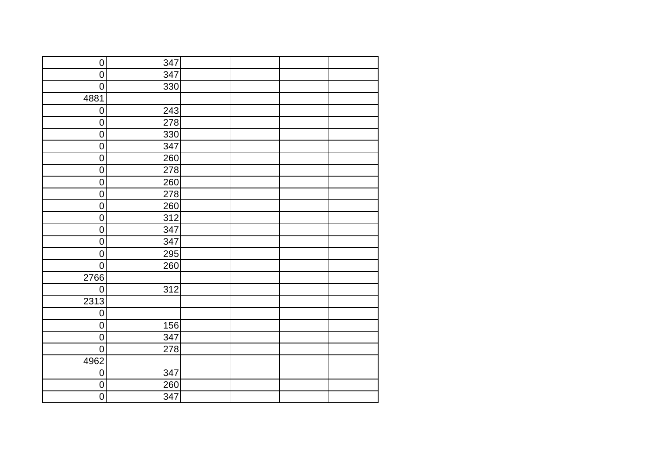| $\overline{0}$   | 347              |  |  |
|------------------|------------------|--|--|
| $\overline{0}$   | 347              |  |  |
| $\overline{0}$   | 330              |  |  |
| 4881             |                  |  |  |
| $\boldsymbol{0}$ | 243              |  |  |
| $\overline{0}$   | 278              |  |  |
| $\overline{0}$   | 330              |  |  |
| $\overline{0}$   | 347              |  |  |
| $\pmb{0}$        | 260              |  |  |
| $\overline{0}$   | $\overline{278}$ |  |  |
| $\pmb{0}$        | 260              |  |  |
| $\mathsf 0$      | 278              |  |  |
| $\pmb{0}$        | 260              |  |  |
| $\pmb{0}$        | 312              |  |  |
| $\mathbf 0$      | 347              |  |  |
| $\pmb{0}$        | 347              |  |  |
| $\overline{0}$   | 295              |  |  |
| $\mathbf 0$      | 260              |  |  |
| 2766             |                  |  |  |
| $\overline{0}$   | 312              |  |  |
| 2313             |                  |  |  |
| $\overline{0}$   |                  |  |  |
| $\overline{0}$   | 156              |  |  |
| $\overline{0}$   | 347              |  |  |
| $\overline{0}$   | 278              |  |  |
| 4962             |                  |  |  |
| $\overline{0}$   | 347              |  |  |
| $\overline{0}$   | 260              |  |  |
| $\overline{0}$   | 347              |  |  |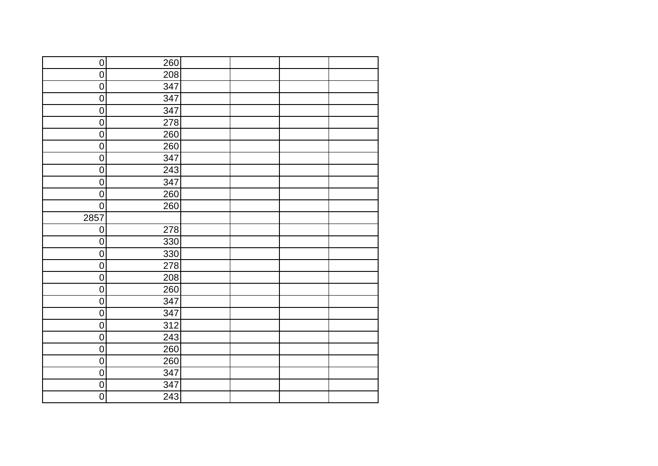| $\overline{0}$   | 260 |  |  |
|------------------|-----|--|--|
| $\overline{0}$   | 208 |  |  |
| $\pmb{0}$        | 347 |  |  |
| $\overline{0}$   | 347 |  |  |
| $\boldsymbol{0}$ | 347 |  |  |
| $\overline{0}$   | 278 |  |  |
| $\pmb{0}$        | 260 |  |  |
| $\overline{0}$   | 260 |  |  |
| $\pmb{0}$        | 347 |  |  |
| $\overline{0}$   | 243 |  |  |
| $\mathsf 0$      | 347 |  |  |
| $\pmb{0}$        | 260 |  |  |
| $\pmb{0}$        | 260 |  |  |
| 2857             |     |  |  |
| $\pmb{0}$        | 278 |  |  |
| $\pmb{0}$        | 330 |  |  |
| $\overline{0}$   | 330 |  |  |
| $\pmb{0}$        | 278 |  |  |
| $\overline{0}$   | 208 |  |  |
| $\mathsf 0$      | 260 |  |  |
| $\overline{0}$   | 347 |  |  |
| $\pmb{0}$        | 347 |  |  |
| $\overline{0}$   | 312 |  |  |
| $\overline{0}$   | 243 |  |  |
| $\overline{0}$   | 260 |  |  |
| $\overline{0}$   | 260 |  |  |
| $\overline{0}$   | 347 |  |  |
| $\pmb{0}$        | 347 |  |  |
| $\overline{0}$   | 243 |  |  |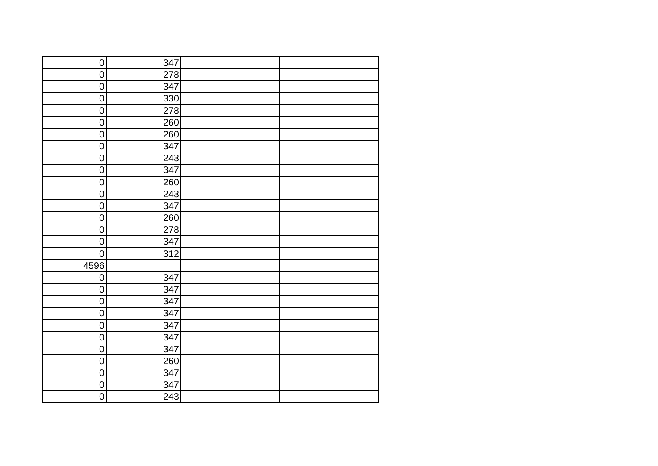| $\overline{0}$   | 347              |  |  |
|------------------|------------------|--|--|
| $\overline{0}$   | 278              |  |  |
| $\pmb{0}$        | 347              |  |  |
| $\overline{0}$   | $\overline{3}30$ |  |  |
| $\boldsymbol{0}$ | 278              |  |  |
| $\overline{0}$   | 260              |  |  |
| $\overline{0}$   | 260              |  |  |
| $\overline{0}$   | 347              |  |  |
| $\pmb{0}$        | 243              |  |  |
| $\overline{0}$   | 347              |  |  |
| $\pmb{0}$        | 260              |  |  |
| $\pmb{0}$        | 243              |  |  |
| $\pmb{0}$        | 347              |  |  |
| $\pmb{0}$        | 260              |  |  |
| $\pmb{0}$        | 278              |  |  |
| $\pmb{0}$        | 347              |  |  |
| $\overline{0}$   | $\overline{312}$ |  |  |
| 4596             |                  |  |  |
| $\overline{0}$   | 347              |  |  |
| $\mathsf 0$      | 347              |  |  |
| $\overline{0}$   | 347              |  |  |
| $\pmb{0}$        | 347              |  |  |
| $\overline{0}$   | 347              |  |  |
| $\overline{0}$   | 347              |  |  |
| $\overline{0}$   | 347              |  |  |
| $\overline{0}$   | 260              |  |  |
| $\overline{0}$   | 347              |  |  |
| $\overline{0}$   | 347              |  |  |
| $\overline{0}$   | 243              |  |  |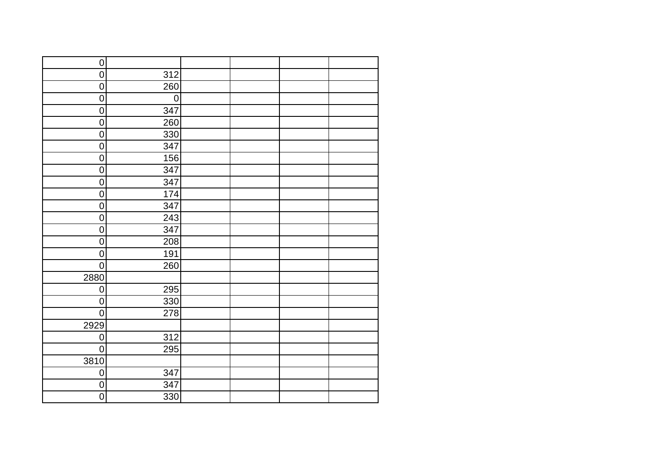| $\overline{0}$   |             |  |  |
|------------------|-------------|--|--|
| $\overline{0}$   | 312         |  |  |
| $\pmb{0}$        | 260         |  |  |
| $\overline{0}$   | $\mathbf 0$ |  |  |
| $\boldsymbol{0}$ | 347         |  |  |
| $\overline{0}$   | 260         |  |  |
| $\pmb{0}$        | 330         |  |  |
| $\overline{0}$   | 347         |  |  |
| $\pmb{0}$        | 156         |  |  |
| $\pmb{0}$        | 347         |  |  |
| $\pmb{0}$        | 347         |  |  |
| $\pmb{0}$        | 174         |  |  |
| $\pmb{0}$        | 347         |  |  |
| $\pmb{0}$        | 243         |  |  |
| $\pmb{0}$        | 347         |  |  |
| $\pmb{0}$        | 208         |  |  |
| $\overline{0}$   | 191         |  |  |
| $\mathbf 0$      | 260         |  |  |
| 2880             |             |  |  |
| $\pmb{0}$        | 295         |  |  |
| $\overline{0}$   | 330         |  |  |
| $\pmb{0}$        | 278         |  |  |
| 2929             |             |  |  |
| $\overline{0}$   | 312         |  |  |
| $\overline{0}$   | 295         |  |  |
| 3810             |             |  |  |
| $\overline{0}$   | 347         |  |  |
| $\pmb{0}$        | 347         |  |  |
| $\overline{0}$   | 330         |  |  |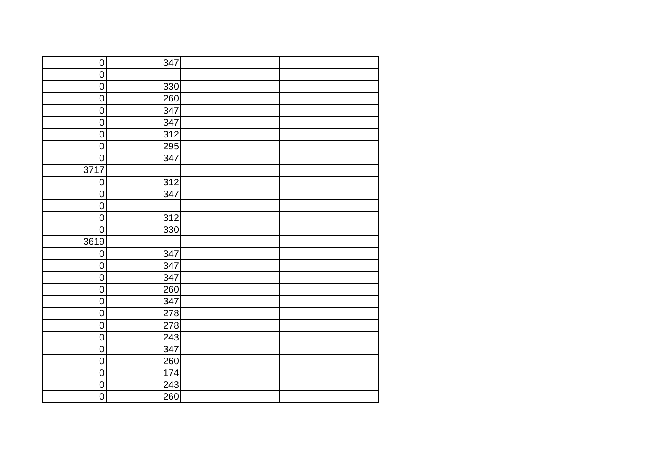| $\overline{0}$   | 347 |  |  |
|------------------|-----|--|--|
| $\overline{0}$   |     |  |  |
| $\overline{0}$   | 330 |  |  |
| $\overline{0}$   | 260 |  |  |
| $\overline{0}$   | 347 |  |  |
| $\overline{0}$   | 347 |  |  |
| $\overline{0}$   | 312 |  |  |
| $\overline{0}$   | 295 |  |  |
| $\overline{0}$   | 347 |  |  |
| 3717             |     |  |  |
| $\overline{0}$   | 312 |  |  |
| $\overline{0}$   | 347 |  |  |
| $\pmb{0}$        |     |  |  |
| $\pmb{0}$        | 312 |  |  |
| $\overline{0}$   | 330 |  |  |
| 3619             |     |  |  |
| $\boldsymbol{0}$ | 347 |  |  |
| $\pmb{0}$        | 347 |  |  |
| $\overline{0}$   | 347 |  |  |
| $\pmb{0}$        | 260 |  |  |
| $\overline{0}$   | 347 |  |  |
| $\mathbf 0$      | 278 |  |  |
| $\overline{0}$   | 278 |  |  |
| $\overline{0}$   | 243 |  |  |
| $\overline{0}$   | 347 |  |  |
| $\overline{0}$   | 260 |  |  |
| $\overline{0}$   | 174 |  |  |
| $\overline{0}$   | 243 |  |  |
| $\overline{0}$   | 260 |  |  |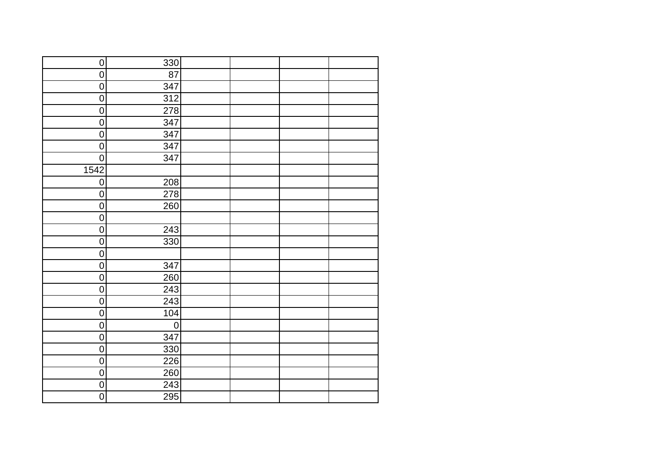| $\overline{0}$   | 330         |  |  |
|------------------|-------------|--|--|
| $\overline{0}$   | 87          |  |  |
| $\pmb{0}$        | 347         |  |  |
| $\overline{0}$   | 312         |  |  |
| $\boldsymbol{0}$ | 278         |  |  |
| $\overline{0}$   | 347         |  |  |
| $\overline{0}$   | 347         |  |  |
| $\overline{0}$   | 347         |  |  |
| $\overline{0}$   | 347         |  |  |
| 1542             |             |  |  |
| $\overline{0}$   | 208         |  |  |
| $\pmb{0}$        | 278         |  |  |
| $\mathsf 0$      | 260         |  |  |
| $\pmb{0}$        |             |  |  |
| $\mathbf 0$      | 243         |  |  |
| $\pmb{0}$        | 330         |  |  |
| $\overline{0}$   |             |  |  |
| $\pmb{0}$        | 347         |  |  |
| $\overline{0}$   | 260         |  |  |
| $\overline{0}$   | 243         |  |  |
| $\overline{0}$   | 243         |  |  |
| $\pmb{0}$        | 104         |  |  |
| $\overline{0}$   | $\mathbf 0$ |  |  |
| $\boldsymbol{0}$ | 347         |  |  |
| 0                | 330         |  |  |
| $\overline{0}$   | 226         |  |  |
| $\overline{0}$   | 260         |  |  |
| $\overline{0}$   | 243         |  |  |
| $\overline{0}$   | 295         |  |  |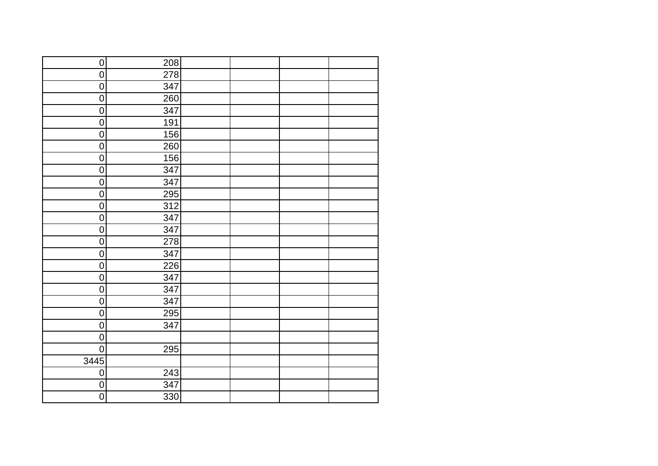| $\overline{0}$   | 208 |  |  |
|------------------|-----|--|--|
| $\overline{0}$   | 278 |  |  |
| $\pmb{0}$        | 347 |  |  |
| $\overline{0}$   | 260 |  |  |
| $\boldsymbol{0}$ | 347 |  |  |
| $\overline{0}$   | 191 |  |  |
| $\overline{0}$   | 156 |  |  |
| $\overline{0}$   | 260 |  |  |
| $\pmb{0}$        | 156 |  |  |
| $\overline{0}$   | 347 |  |  |
| $\pmb{0}$        | 347 |  |  |
| $\pmb{0}$        | 295 |  |  |
| $\mathsf 0$      | 312 |  |  |
| $\boldsymbol{0}$ | 347 |  |  |
| $\mathbf 0$      | 347 |  |  |
| $\pmb{0}$        | 278 |  |  |
| $\overline{0}$   | 347 |  |  |
| $\pmb{0}$        | 226 |  |  |
| $\overline{0}$   | 347 |  |  |
| $\mathbf 0$      | 347 |  |  |
| $\overline{0}$   | 347 |  |  |
| $\pmb{0}$        | 295 |  |  |
| $\overline{0}$   | 347 |  |  |
| $\overline{0}$   |     |  |  |
| $\overline{0}$   | 295 |  |  |
| 3445             |     |  |  |
| $\overline{0}$   | 243 |  |  |
| $\pmb{0}$        | 347 |  |  |
| $\overline{0}$   | 330 |  |  |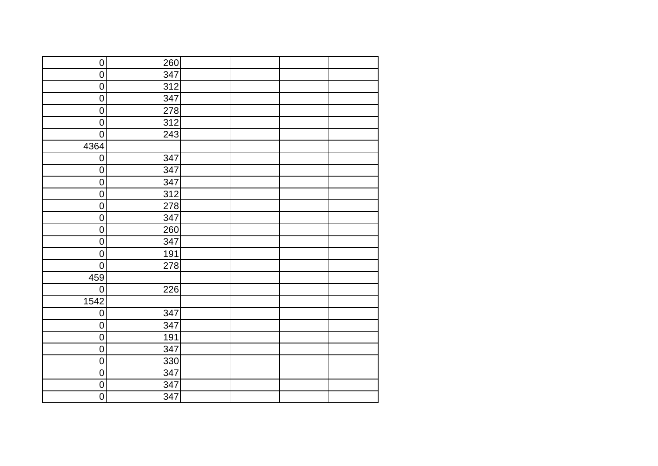| $\overline{0}$   | 260              |  |  |
|------------------|------------------|--|--|
| $\overline{0}$   | 347              |  |  |
| $\pmb{0}$        | 312              |  |  |
| $\overline{0}$   | 347              |  |  |
| $\pmb{0}$        | 278              |  |  |
| $\overline{0}$   | 312              |  |  |
| $\overline{0}$   | 243              |  |  |
| 4364             |                  |  |  |
| $\boldsymbol{0}$ | 347              |  |  |
| $\overline{0}$   | 347              |  |  |
| $\pmb{0}$        | 347              |  |  |
| $\overline{0}$   | $\overline{312}$ |  |  |
| $\pmb{0}$        | 278              |  |  |
| $\pmb{0}$        | 347              |  |  |
| $\pmb{0}$        | 260              |  |  |
| $\mathbf 0$      | 347              |  |  |
| $\overline{0}$   | 191              |  |  |
| $\mathsf 0$      | 278              |  |  |
| 459              |                  |  |  |
| $\pmb{0}$        | 226              |  |  |
| 1542             |                  |  |  |
| $\pmb{0}$        | 347              |  |  |
| $\overline{0}$   | 347              |  |  |
| $\overline{0}$   | 191              |  |  |
| $\overline{0}$   | 347              |  |  |
| $\overline{0}$   | 330              |  |  |
| $\overline{0}$   | 347              |  |  |
| $\overline{0}$   | 347              |  |  |
| $\overline{0}$   | 347              |  |  |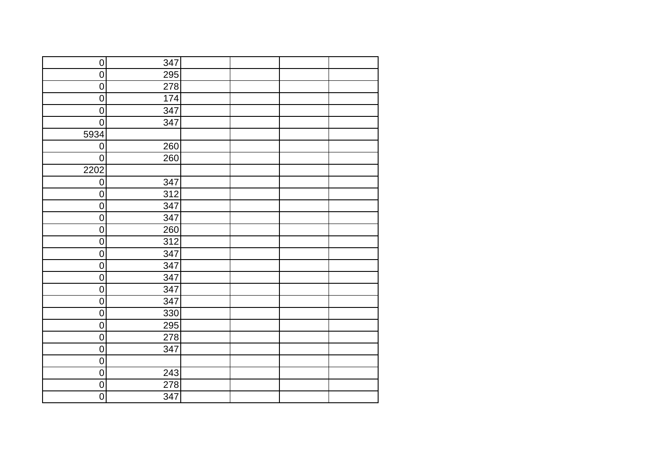| $\overline{0}$   | 347              |  |  |
|------------------|------------------|--|--|
| $\overline{0}$   | 295              |  |  |
| $\pmb{0}$        | 278              |  |  |
| $\overline{0}$   | 174              |  |  |
| $\pmb{0}$        | 347              |  |  |
| $\overline{0}$   | 347              |  |  |
| 5934             |                  |  |  |
| $\overline{0}$   | 260              |  |  |
| $\overline{0}$   | 260              |  |  |
| 2202             |                  |  |  |
| $\overline{0}$   | 347              |  |  |
| $\overline{0}$   | $\overline{312}$ |  |  |
| $\pmb{0}$        | 347              |  |  |
| $\pmb{0}$        | 347              |  |  |
| $\pmb{0}$        | 260              |  |  |
| $\boldsymbol{0}$ | 312              |  |  |
| $\overline{0}$   | 347              |  |  |
| $\pmb{0}$        | 347              |  |  |
| $\mathsf 0$      | 347              |  |  |
| $\pmb{0}$        | 347              |  |  |
| $\overline{0}$   | 347              |  |  |
| $\mathbf 0$      | 330              |  |  |
| $\overline{0}$   | $\overline{295}$ |  |  |
| $\overline{0}$   | 278              |  |  |
| $\overline{0}$   | 347              |  |  |
| $\overline{0}$   |                  |  |  |
| $\overline{0}$   | 243              |  |  |
| $\overline{0}$   | 278              |  |  |
| $\overline{0}$   | 347              |  |  |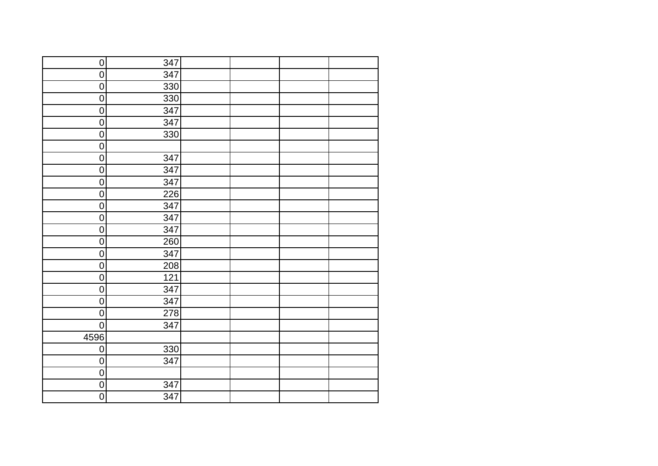| $\overline{0}$   | 347              |  |  |
|------------------|------------------|--|--|
| $\overline{0}$   | 347              |  |  |
| $\overline{0}$   | 330              |  |  |
| $\overline{0}$   | 330              |  |  |
| $\boldsymbol{0}$ | 347              |  |  |
| $\overline{0}$   | 347              |  |  |
| $\overline{0}$   | 330              |  |  |
| $\overline{0}$   |                  |  |  |
| $\boldsymbol{0}$ | 347              |  |  |
| $\overline{0}$   | 347              |  |  |
| $\pmb{0}$        | 347              |  |  |
| $\overline{0}$   | $\overline{2}26$ |  |  |
| $\pmb{0}$        | 347              |  |  |
| $\pmb{0}$        | 347              |  |  |
| $\pmb{0}$        | 347              |  |  |
| $\pmb{0}$        | 260              |  |  |
| $\overline{0}$   | 347              |  |  |
| $\mathsf 0$      | 208              |  |  |
| $\mathsf 0$      | 121              |  |  |
| $\pmb{0}$        | 347              |  |  |
| $\overline{0}$   | 347              |  |  |
| $\pmb{0}$        | 278              |  |  |
| $\overline{0}$   | 347              |  |  |
| 4596             |                  |  |  |
| $\overline{0}$   | $\overline{330}$ |  |  |
| $\overline{0}$   | 347              |  |  |
| $\overline{0}$   |                  |  |  |
| $\boldsymbol{0}$ | 347              |  |  |
| $\overline{0}$   | 347              |  |  |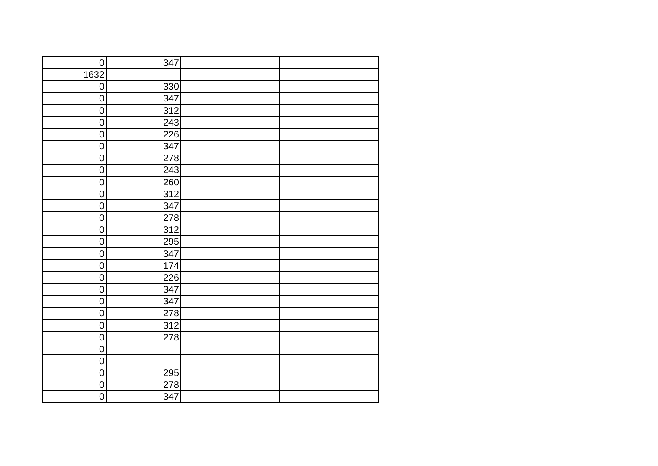| $\overline{0}$   | 347              |  |  |
|------------------|------------------|--|--|
| 1632             |                  |  |  |
| $\pmb{0}$        | 330              |  |  |
| $\overline{0}$   | 347              |  |  |
| $\boldsymbol{0}$ | 312              |  |  |
| $\overline{0}$   | 243              |  |  |
| $\overline{0}$   | 226              |  |  |
| $\overline{0}$   | 347              |  |  |
| $\pmb{0}$        | 278              |  |  |
| $\overline{0}$   | 243              |  |  |
| $\pmb{0}$        | 260              |  |  |
| $\pmb{0}$        | 312              |  |  |
| $\pmb{0}$        | 347              |  |  |
| $\pmb{0}$        | 278              |  |  |
| $\mathbf 0$      | 312              |  |  |
| $\pmb{0}$        | $\overline{295}$ |  |  |
| $\overline{0}$   | 347              |  |  |
| $\pmb{0}$        | 174              |  |  |
| $\overline{0}$   | 226              |  |  |
| $\mathsf 0$      | 347              |  |  |
| $\overline{0}$   | 347              |  |  |
| $\pmb{0}$        | 278              |  |  |
| $\overline{0}$   | 312              |  |  |
| $\overline{0}$   | 278              |  |  |
| $\overline{0}$   |                  |  |  |
| $\overline{0}$   |                  |  |  |
| $\overline{0}$   | 295              |  |  |
| $\overline{0}$   | 278              |  |  |
| $\overline{0}$   | 347              |  |  |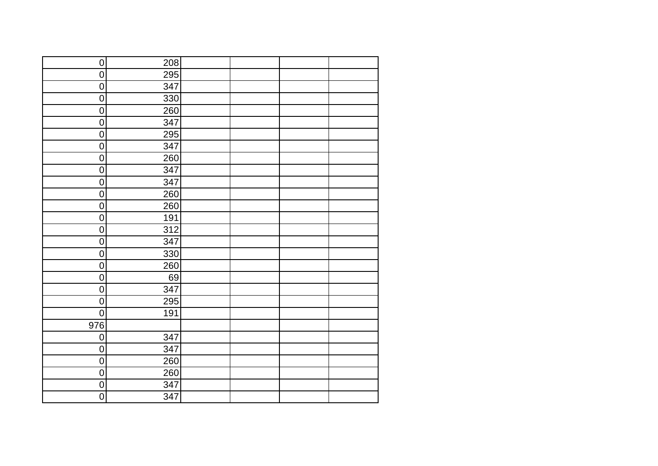| $\overline{0}$ | 208 |  |  |
|----------------|-----|--|--|
| $\overline{0}$ | 295 |  |  |
| $\pmb{0}$      | 347 |  |  |
| $\overline{0}$ | 330 |  |  |
| $\overline{0}$ | 260 |  |  |
| $\overline{0}$ | 347 |  |  |
| $\pmb{0}$      | 295 |  |  |
| $\overline{0}$ | 347 |  |  |
| $\pmb{0}$      | 260 |  |  |
| $\overline{0}$ | 347 |  |  |
| $\pmb{0}$      | 347 |  |  |
| $\pmb{0}$      | 260 |  |  |
| $\pmb{0}$      | 260 |  |  |
| $\pmb{0}$      | 191 |  |  |
| $\mathbf 0$    | 312 |  |  |
| $\pmb{0}$      | 347 |  |  |
| $\overline{0}$ | 330 |  |  |
| $\pmb{0}$      | 260 |  |  |
| $\mathbf 0$    | 69  |  |  |
| $\mathbf 0$    | 347 |  |  |
| $\overline{0}$ | 295 |  |  |
| $\pmb{0}$      | 191 |  |  |
| 976            |     |  |  |
| $\pmb{0}$      | 347 |  |  |
| $\overline{0}$ | 347 |  |  |
| $\overline{0}$ | 260 |  |  |
| $\overline{0}$ | 260 |  |  |
| $\pmb{0}$      | 347 |  |  |
| $\overline{0}$ | 347 |  |  |